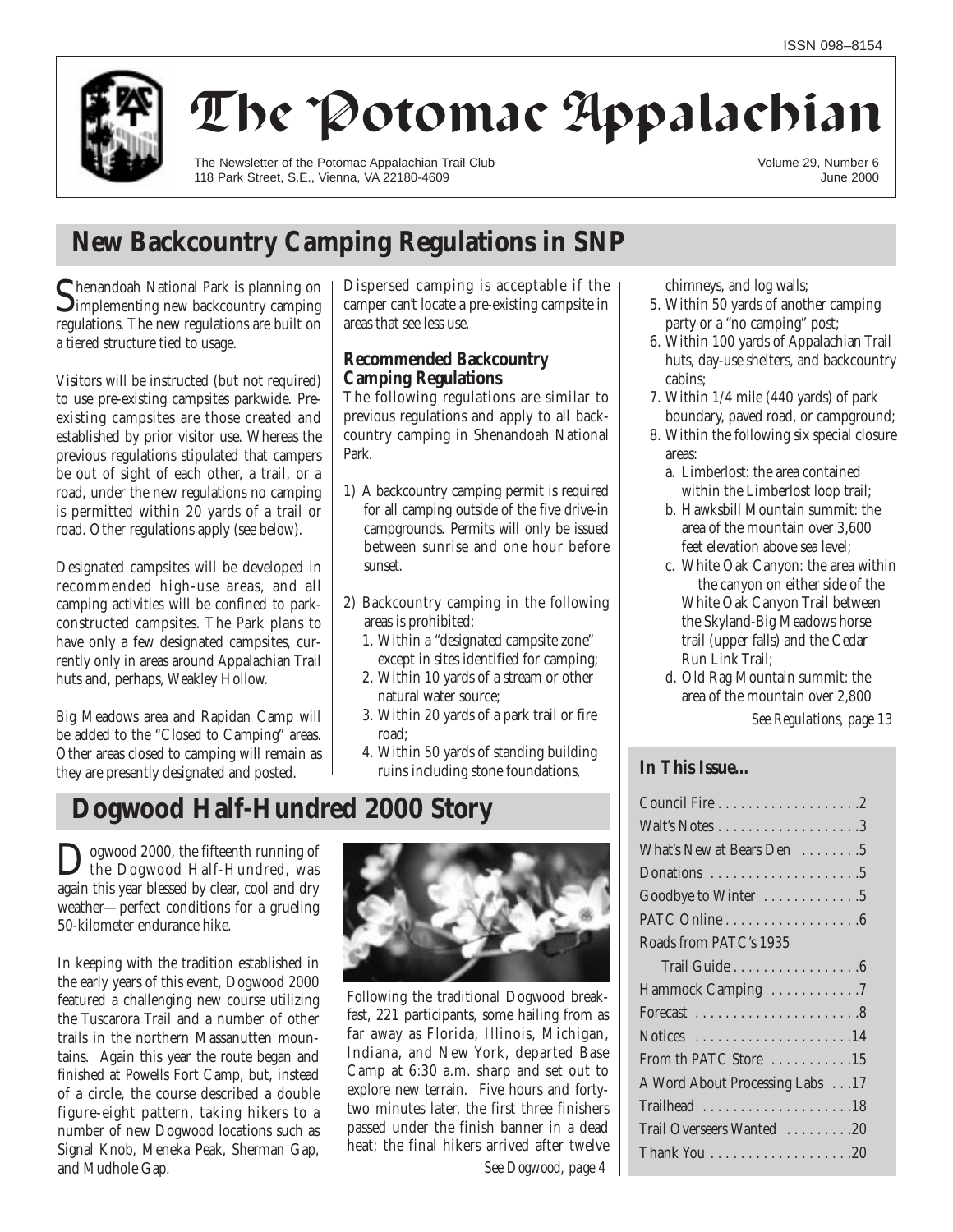

# The Potomac Appalachian

The Newsletter of the Potomac Appalachian Trail Club 118 Park Street, S.E., Vienna, VA 22180-4609

Volume 29, Number 6 June 2000

## **New Backcountry Camping Regulations in SNP**

Shenandoah National Park is planning on<br>
Simplementing new backcountry camping regulations. The new regulations are built on a tiered structure tied to usage.

Visitors will be instructed (but not required) to use pre-existing campsites parkwide. Preexisting campsites are those created and established by prior visitor use. Whereas the previous regulations stipulated that campers be out of sight of each other, a trail, or a road, under the new regulations no camping is permitted within 20 yards of a trail or road. Other regulations apply (see below).

Designated campsites will be developed in recommended high-use areas, and all camping activities will be confined to parkconstructed campsites. The Park plans to have only a few designated campsites, currently only in areas around Appalachian Trail huts and, perhaps, Weakley Hollow.

Big Meadows area and Rapidan Camp will be added to the "Closed to Camping" areas. Other areas closed to camping will remain as they are presently designated and posted.

Dispersed camping is acceptable if the camper can't locate a pre-existing campsite in areas that see less use.

## **Recommended Backcountry Camping Regulations**

The following regulations are similar to previous regulations and apply to all backcountry camping in Shenandoah National Park.

- 1) A backcountry camping permit is required for all camping outside of the five drive-in campgrounds. Permits will only be issued between sunrise and one hour before sunset.
- 2) Backcountry camping in the following areas is prohibited:
	- 1. Within a "designated campsite zone" except in sites identified for camping;
	- 2. Within 10 yards of a stream or other natural water source;
	- 3. Within 20 yards of a park trail or fire road;
	- 4. Within 50 yards of standing building ruins including stone foundations,

## **Dogwood Half-Hundred 2000 Story**

Dogwood 2000, the fifteenth running of<br>the Dogwood Half-Hundred, was again this year blessed by clear, cool and dry weather—perfect conditions for a grueling 50-kilometer endurance hike.

In keeping with the tradition established in the early years of this event, Dogwood 2000 featured a challenging new course utilizing the Tuscarora Trail and a number of other trails in the northern Massanutten mountains. Again this year the route began and finished at Powells Fort Camp, but, instead of a circle, the course described a double figure-eight pattern, taking hikers to a number of new Dogwood locations such as Signal Knob, Meneka Peak, Sherman Gap, and Mudhole Gap.



Following the traditional Dogwood breakfast, 221 participants, some hailing from as far away as Florida, Illinois, Michigan, Indiana, and New York, departed Base Camp at 6:30 a.m. sharp and set out to explore new terrain. Five hours and fortytwo minutes later, the first three finishers passed under the finish banner in a dead heat; the final hikers arrived after twelve

*See Dogwood, page 4*

chimneys, and log walls;

- 5. Within 50 yards of another camping party or a "no camping" post;
- 6. Within 100 yards of Appalachian Trail huts, day-use shelters, and backcountry cabins;
- 7. Within 1/4 mile (440 yards) of park boundary, paved road, or campground;
- 8. Within the following six special closure areas:
	- a. Limberlost: the area contained within the Limberlost loop trail;
	- b. Hawksbill Mountain summit: the area of the mountain over 3,600 feet elevation above sea level;
	- c. White Oak Canyon: the area within the canyon on either side of the White Oak Canyon Trail between the Skyland-Big Meadows horse trail (upper falls) and the Cedar Run Link Trail;
	- d. Old Rag Mountain summit: the area of the mountain over 2,800

*See Regulations, page 13*

## **In This Issue…**

| What's New at Bears Den 5                          |
|----------------------------------------------------|
| Donations 5                                        |
| Goodbye to Winter 5                                |
|                                                    |
| Roads from PATC's 1935                             |
| Trail Guide $\ldots \ldots \ldots \ldots \ldots 6$ |
| Hammock Camping 7                                  |
|                                                    |
| Notices $\dots\dots\dots\dots\dots\dots\dots14$    |
| From th PATC Store 15                              |
| A Word About Processing Labs 17                    |
| Trailhead 18                                       |
| Trail Overseers Wanted 20                          |
|                                                    |
|                                                    |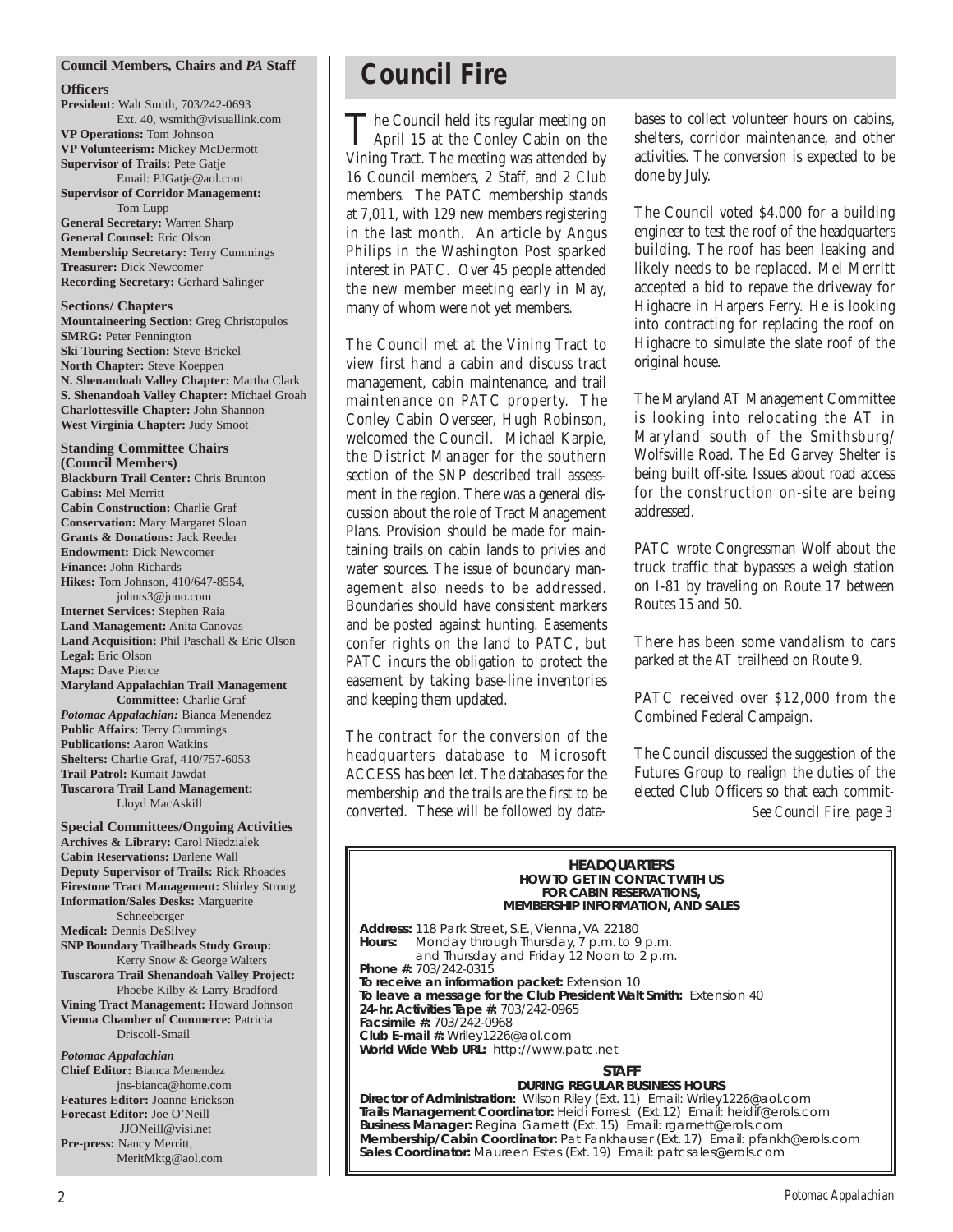#### **Council Members, Chairs and** *PA* **Staff**

#### **Officers**

**President:** Walt Smith, 703/242-0693 Ext. 40, wsmith@visuallink.com **VP Operations:** Tom Johnson **VP Volunteerism:** Mickey McDermott **Supervisor of Trails:** Pete Gatje Email: PJGatje@aol.com **Supervisor of Corridor Management:** Tom Lupp **General Secretary:** Warren Sharp **General Counsel:** Eric Olson **Membership Secretary:** Terry Cummings

**Treasurer:** Dick Newcomer **Recording Secretary:** Gerhard Salinger

**Sections/ Chapters Mountaineering Section:** Greg Christopulos **SMRG:** Peter Pennington **Ski Touring Section:** Steve Brickel **North Chapter:** Steve Koeppen **N. Shenandoah Valley Chapter:** Martha Clark **S. Shenandoah Valley Chapter:** Michael Groah **Charlottesville Chapter:** John Shannon **West Virginia Chapter:** Judy Smoot

**Standing Committee Chairs (Council Members) Blackburn Trail Center:** Chris Brunton **Cabins:** Mel Merritt **Cabin Construction:** Charlie Graf **Conservation:** Mary Margaret Sloan **Grants & Donations:** Jack Reeder **Endowment:** Dick Newcomer **Finance:** John Richards **Hikes:** Tom Johnson, 410/647-8554, johnts3@juno.com **Internet Services:** Stephen Raia **Land Management:** Anita Canovas **Land Acquisition:** Phil Paschall & Eric Olson **Legal:** Eric Olson **Maps:** Dave Pierce **Maryland Appalachian Trail Management Committee:** Charlie Graf *Potomac Appalachian:* Bianca Menendez **Public Affairs:** Terry Cummings **Publications:** Aaron Watkins **Shelters:** Charlie Graf, 410/757-6053 **Trail Patrol:** Kumait Jawdat

**Tuscarora Trail Land Management:**  Lloyd MacAskill

**Special Committees/Ongoing Activities Archives & Library:** Carol Niedzialek **Cabin Reservations:** Darlene Wall **Deputy Supervisor of Trails:** Rick Rhoades **Firestone Tract Management:** Shirley Strong **Information/Sales Desks:** Marguerite Schneeberger **Medical:** Dennis DeSilvey **SNP Boundary Trailheads Study Group:** Kerry Snow & George Walters **Tuscarora Trail Shenandoah Valley Project:**  Phoebe Kilby & Larry Bradford **Vining Tract Management:** Howard Johnson **Vienna Chamber of Commerce:** Patricia Driscoll-Smail *Potomac Appalachian*

**Chief Editor:** Bianca Menendez jns-bianca@home.com **Features Editor:** Joanne Erickson **Forecast Editor:** Joe O'Neill JJONeill@visi.net **Pre-press:** Nancy Merritt, MeritMktg@aol.com

## **Council Fire**

The Council held its regular meeting on<br>April 15 at the Conley Cabin on the Vining Tract. The meeting was attended by 16 Council members, 2 Staff, and 2 Club members. The PATC membership stands at 7,011, with 129 new members registering in the last month. An article by Angus Philips in the Washington Post sparked interest in PATC. Over 45 people attended the new member meeting early in May, many of whom were not yet members.

The Council met at the Vining Tract to view first hand a cabin and discuss tract management, cabin maintenance, and trail maintenance on PATC property. The Conley Cabin Overseer, Hugh Robinson, welcomed the Council. Michael Karpie, the District Manager for the southern section of the SNP described trail assessment in the region. There was a general discussion about the role of Tract Management Plans. Provision should be made for maintaining trails on cabin lands to privies and water sources. The issue of boundary management also needs to be addressed. Boundaries should have consistent markers and be posted against hunting. Easements confer rights on the land to PATC, but PATC incurs the obligation to protect the easement by taking base-line inventories and keeping them updated.

The contract for the conversion of the headquarters database to Microsoft ACCESS has been let. The databases for the membership and the trails are the first to be converted. These will be followed by databases to collect volunteer hours on cabins, shelters, corridor maintenance, and other activities. The conversion is expected to be done by July.

The Council voted \$4,000 for a building engineer to test the roof of the headquarters building. The roof has been leaking and likely needs to be replaced. Mel Merritt accepted a bid to repave the driveway for Highacre in Harpers Ferry. He is looking into contracting for replacing the roof on Highacre to simulate the slate roof of the original house.

The Maryland AT Management Committee is looking into relocating the AT in Maryland south of the Smithsburg/ Wolfsville Road. The Ed Garvey Shelter is being built off-site. Issues about road access for the construction on-site are being addressed.

PATC wrote Congressman Wolf about the truck traffic that bypasses a weigh station on I-81 by traveling on Route 17 between Routes 15 and 50.

There has been some vandalism to cars parked at the AT trailhead on Route 9.

PATC received over \$12,000 from the Combined Federal Campaign.

The Council discussed the suggestion of the Futures Group to realign the duties of the elected Club Officers so that each commit-*See Council Fire, page 3*

#### **HEADQUARTERS HOW TO GET IN CONTACT WITH US FOR CABIN RESERVATIONS, MEMBERSHIP INFORMATION, AND SALES**

**Address:** 118 Park Street, S.E., Vienna, VA 22180 **Hours:** Monday through Thursday, 7 p.m. to 9 p.m. and Thursday and Friday 12 Noon to 2 p.m. **Phone #:** 703/242-0315 **To receive an information packet:** Extension 10 **To leave a message for the Club President Walt Smith:** Extension 40 **24-hr. Activities Tape #:** 703/242-0965 **Facsimile #:** 703/242-0968 **Club E-mail #:** Wriley1226@aol.com **World Wide Web URL:** http://www.patc.net **STAFF** 

### **DURING REGULAR BUSINESS HOURS**

**Director of Administration:** Wilson Riley (Ext. 11) Email: Wriley1226@aol.com **Trails Management Coordinator:** Heidi Forrest (Ext.12) Email: heidif@erols.com **Business Manager:** Regina Garnett (Ext. 15) Email: rgarnett@erols.com **Membership/Cabin Coordinator:** Pat Fankhauser (Ext. 17) Email: pfankh@erols.com **Sales Coordinator:** Maureen Estes (Ext. 19) Email: patcsales@erols.com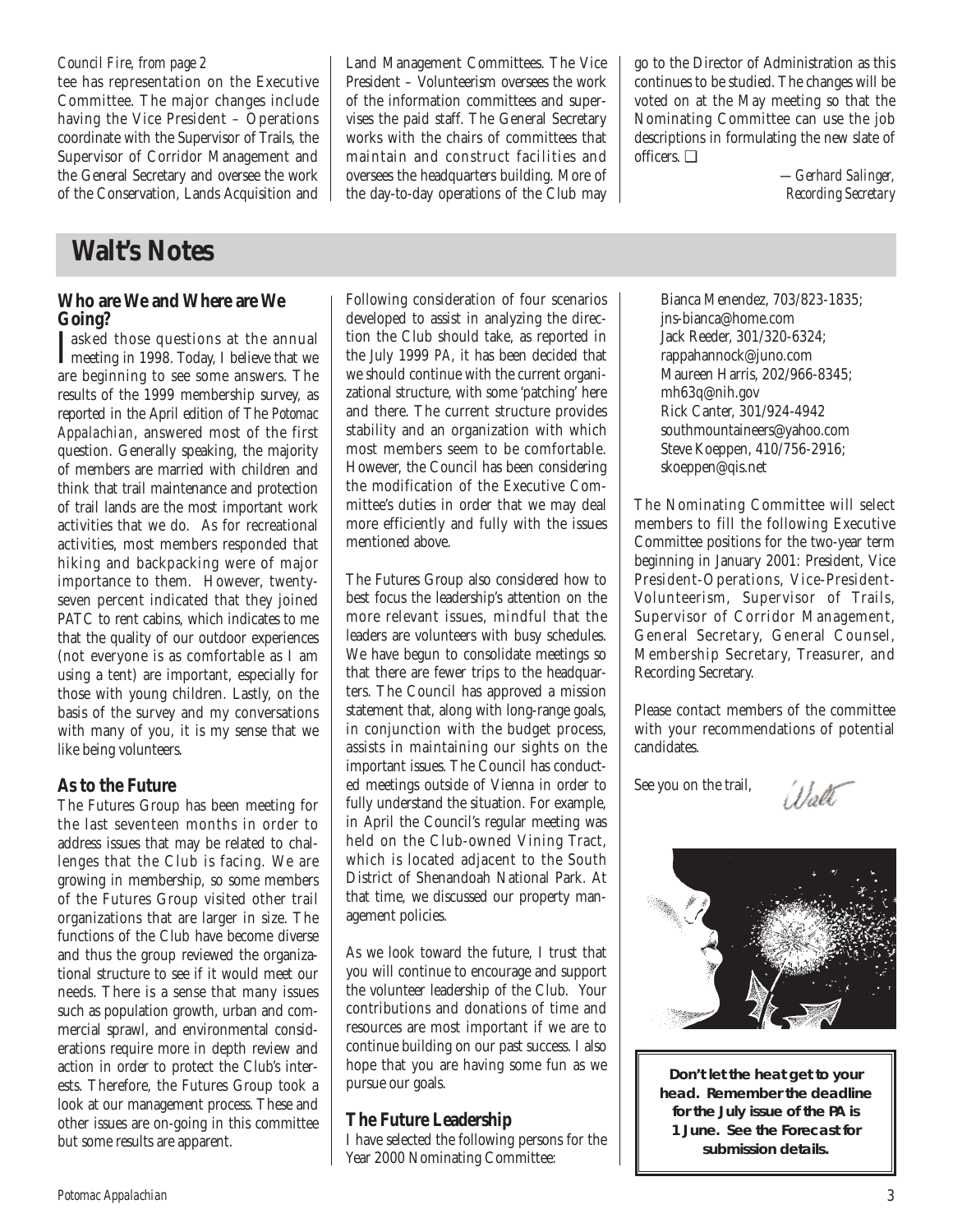tee has representation on the Executive Committee. The major changes include having the Vice President – Operations coordinate with the Supervisor of Trails, the Supervisor of Corridor Management and the General Secretary and oversee the work of the Conservation, Lands Acquisition and

# **Walt's Notes**

## **Who are We and Where are We Going?**

I asked those questions at the annual<br>meeting in 1998. Today, I believe that we meeting in 1998. Today, I believe that we are beginning to see some answers. The results of the 1999 membership survey, as reported in the April edition of The *Potomac Appalachian*, answered most of the first question. Generally speaking, the majority of members are married with children and think that trail maintenance and protection of trail lands are the most important work activities that we do. As for recreational activities, most members responded that hiking and backpacking were of major importance to them. However, twentyseven percent indicated that they joined PATC to rent cabins, which indicates to me that the quality of our outdoor experiences (not everyone is as comfortable as I am using a tent) are important, especially for those with young children. Lastly, on the basis of the survey and my conversations with many of you, it is my sense that we like being volunteers.

## **As to the Future**

The Futures Group has been meeting for the last seventeen months in order to address issues that may be related to challenges that the Club is facing. We are growing in membership, so some members of the Futures Group visited other trail organizations that are larger in size. The functions of the Club have become diverse and thus the group reviewed the organizational structure to see if it would meet our needs. There is a sense that many issues such as population growth, urban and commercial sprawl, and environmental considerations require more in depth review and action in order to protect the Club's interests. Therefore, the Futures Group took a look at our management process. These and other issues are on-going in this committee but some results are apparent.

Land Management Committees. The Vice President – Volunteerism oversees the work of the information committees and supervises the paid staff. The General Secretary works with the chairs of committees that maintain and construct facilities and oversees the headquarters building. More of the day-to-day operations of the Club may go to the Director of Administration as this continues to be studied. The changes will be voted on at the May meeting so that the Nominating Committee can use the job descriptions in formulating the new slate of officers. ❑

> *—Gerhard Salinger, Recording Secretary*

Following consideration of four scenarios developed to assist in analyzing the direction the Club should take, as reported in the July 1999 *PA*, it has been decided that we should continue with the current organizational structure, with some 'patching' here and there. The current structure provides stability and an organization with which most members seem to be comfortable. However, the Council has been considering the modification of the Executive Committee's duties in order that we may deal more efficiently and fully with the issues mentioned above.

The Futures Group also considered how to best focus the leadership's attention on the more relevant issues, mindful that the leaders are volunteers with busy schedules. We have begun to consolidate meetings so that there are fewer trips to the headquarters. The Council has approved a mission statement that, along with long-range goals, in conjunction with the budget process, assists in maintaining our sights on the important issues. The Council has conducted meetings outside of Vienna in order to fully understand the situation. For example, in April the Council's regular meeting was held on the Club-owned Vining Tract, which is located adjacent to the South District of Shenandoah National Park. At that time, we discussed our property management policies.

As we look toward the future, I trust that you will continue to encourage and support the volunteer leadership of the Club. Your contributions and donations of time and resources are most important if we are to continue building on our past success. I also hope that you are having some fun as we pursue our goals.

## **The Future Leadership**

I have selected the following persons for the Year 2000 Nominating Committee:

Bianca Menendez, 703/823-1835; jns-bianca@home.com Jack Reeder, 301/320-6324; rappahannock@juno.com Maureen Harris, 202/966-8345; mh63q@nih.gov Rick Canter, 301/924-4942 southmountaineers@yahoo.com Steve Koeppen, 410/756-2916; skoeppen@qis.net

The Nominating Committee will select members to fill the following Executive Committee positions for the two-year term beginning in January 2001: President, Vice President-Operations, Vice-President-Volunteerism, Supervisor of Trails, Supervisor of Corridor Management, General Secretary, General Counsel, Membership Secretary, Treasurer, and Recording Secretary.

Please contact members of the committee with your recommendations of potential candidates.

See you on the trail,

Wol



**Don't let the heat get to your head. Remember the deadline for the July issue of the** *PA* **is 1 June. See the Forecast for submission details.**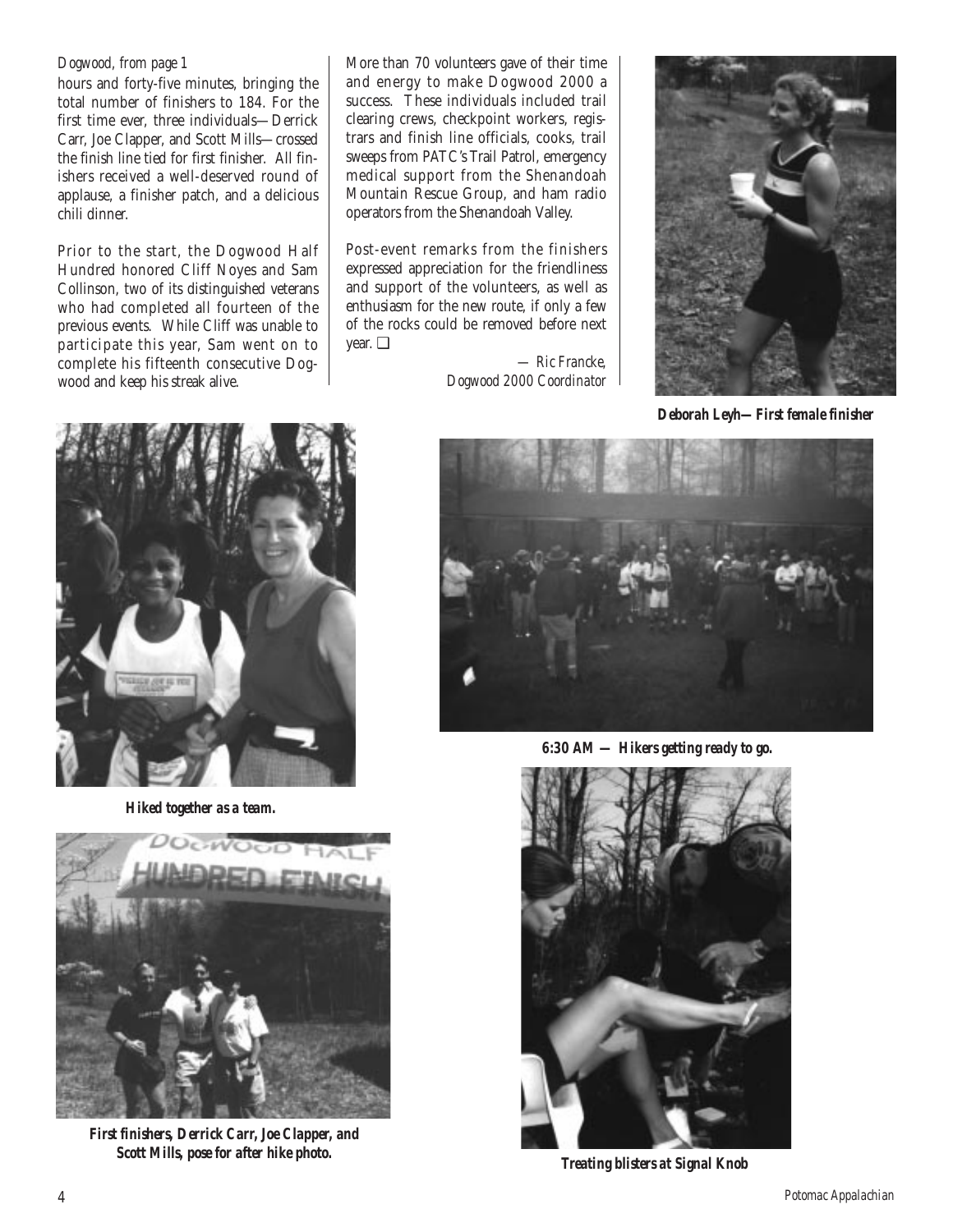### *Dogwood, from page 1*

hours and forty-five minutes, bringing the total number of finishers to 184. For the first time ever, three individuals—Derrick Carr, Joe Clapper, and Scott Mills—crossed the finish line tied for first finisher. All finishers received a well-deserved round of applause, a finisher patch, and a delicious chili dinner.

Prior to the start, the Dogwood Half Hundred honored Cliff Noyes and Sam Collinson, two of its distinguished veterans who had completed all fourteen of the previous events. While Cliff was unable to participate this year, Sam went on to complete his fifteenth consecutive Dogwood and keep his streak alive.

More than 70 volunteers gave of their time and energy to make Dogwood 2000 a success. These individuals included trail clearing crews, checkpoint workers, registrars and finish line officials, cooks, trail sweeps from PATC's Trail Patrol, emergency medical support from the Shenandoah Mountain Rescue Group, and ham radio operators from the Shenandoah Valley.

Post-event remarks from the finishers expressed appreciation for the friendliness and support of the volunteers, as well as enthusiasm for the new route, if only a few of the rocks could be removed before next year. ❑

> *— Ric Francke, Dogwood 2000 Coordinator*



*Deborah Leyh—First female finisher*



*Hiked together as a team.*



*First finishers, Derrick Carr, Joe Clapper, and Scott Mills, pose for after hike photo.*



*6:30 AM — Hikers getting ready to go.*



*Treating blisters at Signal Knob*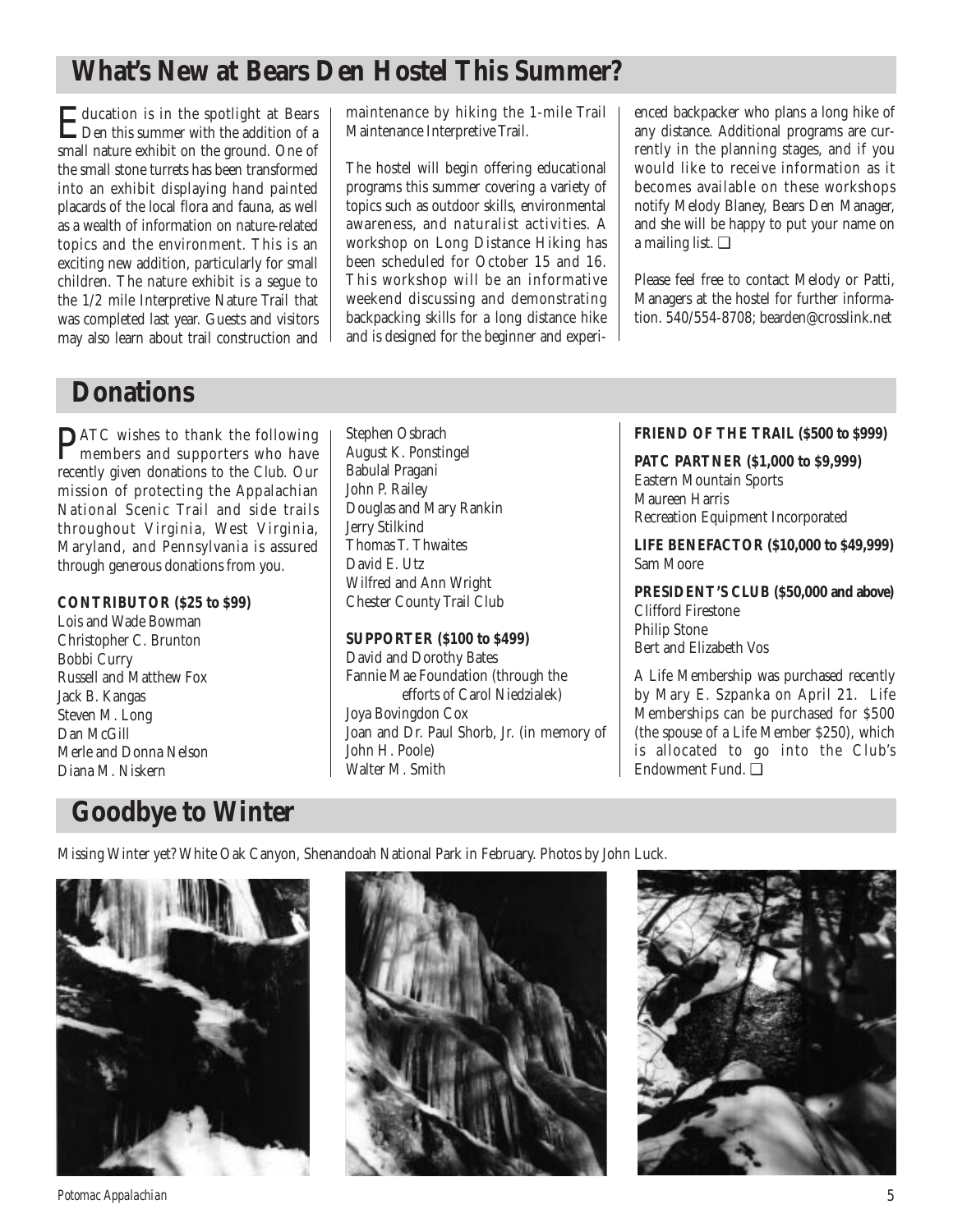## **What's New at Bears Den Hostel This Summer?**

Education is in the spotlight at Bears Den this summer with the addition of a small nature exhibit on the ground. One of the small stone turrets has been transformed into an exhibit displaying hand painted placards of the local flora and fauna, as well as a wealth of information on nature-related topics and the environment. This is an exciting new addition, particularly for small children. The nature exhibit is a segue to the 1/2 mile Interpretive Nature Trail that was completed last year. Guests and visitors may also learn about trail construction and

maintenance by hiking the 1-mile Trail Maintenance Interpretive Trail.

The hostel will begin offering educational programs this summer covering a variety of topics such as outdoor skills, environmental awareness, and naturalist activities. A workshop on Long Distance Hiking has been scheduled for October 15 and 16. This workshop will be an informative weekend discussing and demonstrating backpacking skills for a long distance hike and is designed for the beginner and experienced backpacker who plans a long hike of any distance. Additional programs are currently in the planning stages, and if you would like to receive information as it becomes available on these workshops notify Melody Blaney, Bears Den Manager, and she will be happy to put your name on a mailing list. ❑

Please feel free to contact Melody or Patti, Managers at the hostel for further information. 540/554-8708; bearden@crosslink.net

## **Donations**

**PATC** wishes to thank the following<br>members and supporters who have recently given donations to the Club. Our mission of protecting the Appalachian National Scenic Trail and side trails throughout Virginia, West Virginia, Maryland, and Pennsylvania is assured through generous donations from you.

### **CONTRIBUTOR (\$25 to \$99)**

Lois and Wade Bowman Christopher C. Brunton Bobbi Curry Russell and Matthew Fox Jack B. Kangas Steven M. Long Dan McGill Merle and Donna Nelson Diana M. Niskern

Stephen Osbrach August K. Ponstingel Babulal Pragani John P. Railey Douglas and Mary Rankin Jerry Stilkind Thomas T. Thwaites David E. Utz Wilfred and Ann Wright Chester County Trail Club

### **SUPPORTER (\$100 to \$499)**

David and Dorothy Bates Fannie Mae Foundation (through the efforts of Carol Niedzialek) Joya Bovingdon Cox Joan and Dr. Paul Shorb, Jr. (in memory of John H. Poole) Walter M. Smith

## **FRIEND OF THE TRAIL (\$500 to \$999)**

**PATC PARTNER (\$1,000 to \$9,999)** Eastern Mountain Sports Maureen Harris Recreation Equipment Incorporated

**LIFE BENEFACTOR (\$10,000 to \$49,999)** Sam Moore

**PRESIDENT'S CLUB (\$50,000 and above)** Clifford Firestone Philip Stone Bert and Elizabeth Vos

A Life Membership was purchased recently by Mary E. Szpanka on April 21. Life Memberships can be purchased for \$500 (the spouse of a Life Member \$250), which is allocated to go into the Club's Endowment Fund. ❑

## **Goodbye to Winter**

Missing Winter yet? White Oak Canyon, Shenandoah National Park in February. Photos by John Luck.







*Potomac Appalachian* 5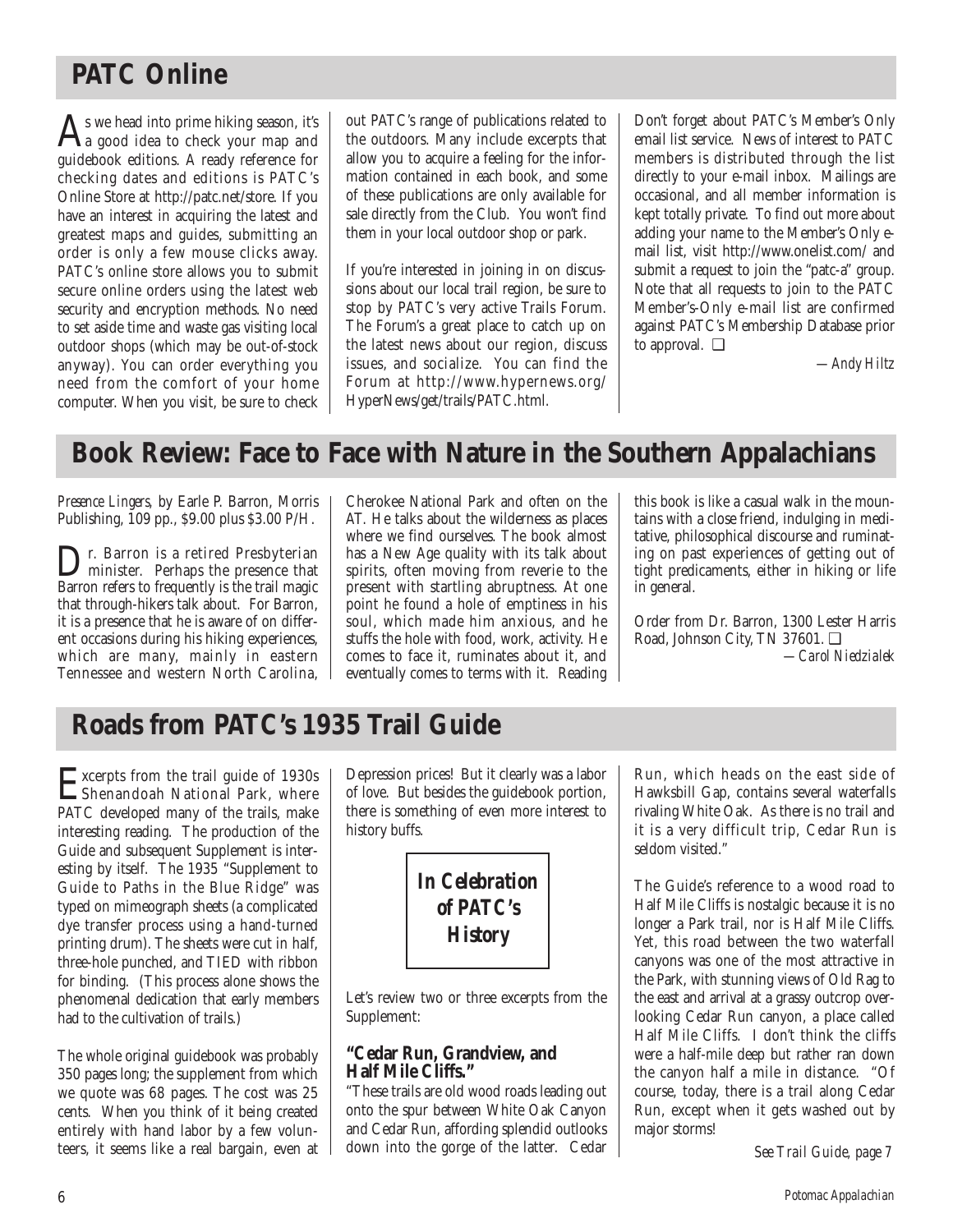## **PATC Online**

 $A<sub>s</sub>$  we head into prime hiking season, it's<br>a good idea to check your map and guidebook editions. A ready reference for checking dates and editions is PATC's Online Store at http://patc.net/store. If you have an interest in acquiring the latest and greatest maps and guides, submitting an order is only a few mouse clicks away. PATC's online store allows you to submit secure online orders using the latest web security and encryption methods. No need to set aside time and waste gas visiting local outdoor shops (which may be out-of-stock anyway). You can order everything you need from the comfort of your home computer. When you visit, be sure to check out PATC's range of publications related to the outdoors. Many include excerpts that allow you to acquire a feeling for the information contained in each book, and some of these publications are only available for sale directly from the Club. You won't find them in your local outdoor shop or park.

If you're interested in joining in on discussions about our local trail region, be sure to stop by PATC's very active Trails Forum. The Forum's a great place to catch up on the latest news about our region, discuss issues, and socialize. You can find the Forum at http://www.hypernews.org/ HyperNews/get/trails/PATC.html.

Don't forget about PATC's Member's Only email list service. News of interest to PATC members is distributed through the list directly to your e-mail inbox. Mailings are occasional, and all member information is kept totally private. To find out more about adding your name to the Member's Only email list, visit http://www.onelist.com/ and submit a request to join the "patc-a" group. Note that all requests to join to the PATC Member's-Only e-mail list are confirmed against PATC's Membership Database prior to approval. ❑

*—Andy Hiltz*

## **Book Review: Face to Face with Nature in the Southern Appalachians**

*Presence Lingers,* by Earle P. Barron, Morris Publishing, 109 pp., \$9.00 plus \$3.00 P/H.

r. Barron is a retired Presbyterian minister. Perhaps the presence that Barron refers to frequently is the trail magic that through-hikers talk about. For Barron, it is a presence that he is aware of on different occasions during his hiking experiences, which are many, mainly in eastern Tennessee and western North Carolina, Cherokee National Park and often on the AT. He talks about the wilderness as places where we find ourselves. The book almost has a New Age quality with its talk about spirits, often moving from reverie to the present with startling abruptness. At one point he found a hole of emptiness in his soul, which made him anxious, and he stuffs the hole with food, work, activity. He comes to face it, ruminates about it, and eventually comes to terms with it. Reading

this book is like a casual walk in the mountains with a close friend, indulging in meditative, philosophical discourse and ruminating on past experiences of getting out of tight predicaments, either in hiking or life in general.

Order from Dr. Barron, 1300 Lester Harris Road, Johnson City, TN 37601. ❑ *—Carol Niedzialek*

## **Roads from PATC's 1935 Trail Guide**

Excerpts from the trail guide of 1930s<br>Shenandoah National Park, where<br>PATC durband many of the trails make PATC developed many of the trails, make interesting reading. The production of the Guide and subsequent Supplement is interesting by itself. The 1935 "Supplement to Guide to Paths in the Blue Ridge" was typed on mimeograph sheets (a complicated dye transfer process using a hand-turned printing drum). The sheets were cut in half, three-hole punched, and TIED with ribbon for binding. (This process alone shows the phenomenal dedication that early members had to the cultivation of trails.)

The whole original guidebook was probably 350 pages long; the supplement from which we quote was 68 pages. The cost was 25 cents. When you think of it being created entirely with hand labor by a few volunteers, it seems like a real bargain, even at Depression prices! But it clearly was a labor of love. But besides the guidebook portion, there is something of even more interest to history buffs.



Let's review two or three excerpts from the Supplement:

## **"Cedar Run, Grandview, and Half Mile Cliffs."**

"These trails are old wood roads leading out onto the spur between White Oak Canyon and Cedar Run, affording splendid outlooks down into the gorge of the latter. Cedar

Run, which heads on the east side of Hawksbill Gap, contains several waterfalls rivaling White Oak. As there is no trail and it is a very difficult trip, Cedar Run is seldom visited."

The Guide's reference to a wood road to Half Mile Cliffs is nostalgic because it is no longer a Park trail, nor is Half Mile Cliffs. Yet, this road between the two waterfall canyons was one of the most attractive in the Park, with stunning views of Old Rag to the east and arrival at a grassy outcrop overlooking Cedar Run canyon, a place called Half Mile Cliffs. I don't think the cliffs were a half-mile deep but rather ran down the canyon half a mile in distance. "Of course, today, there is a trail along Cedar Run, except when it gets washed out by major storms!

*See Trail Guide, page 7*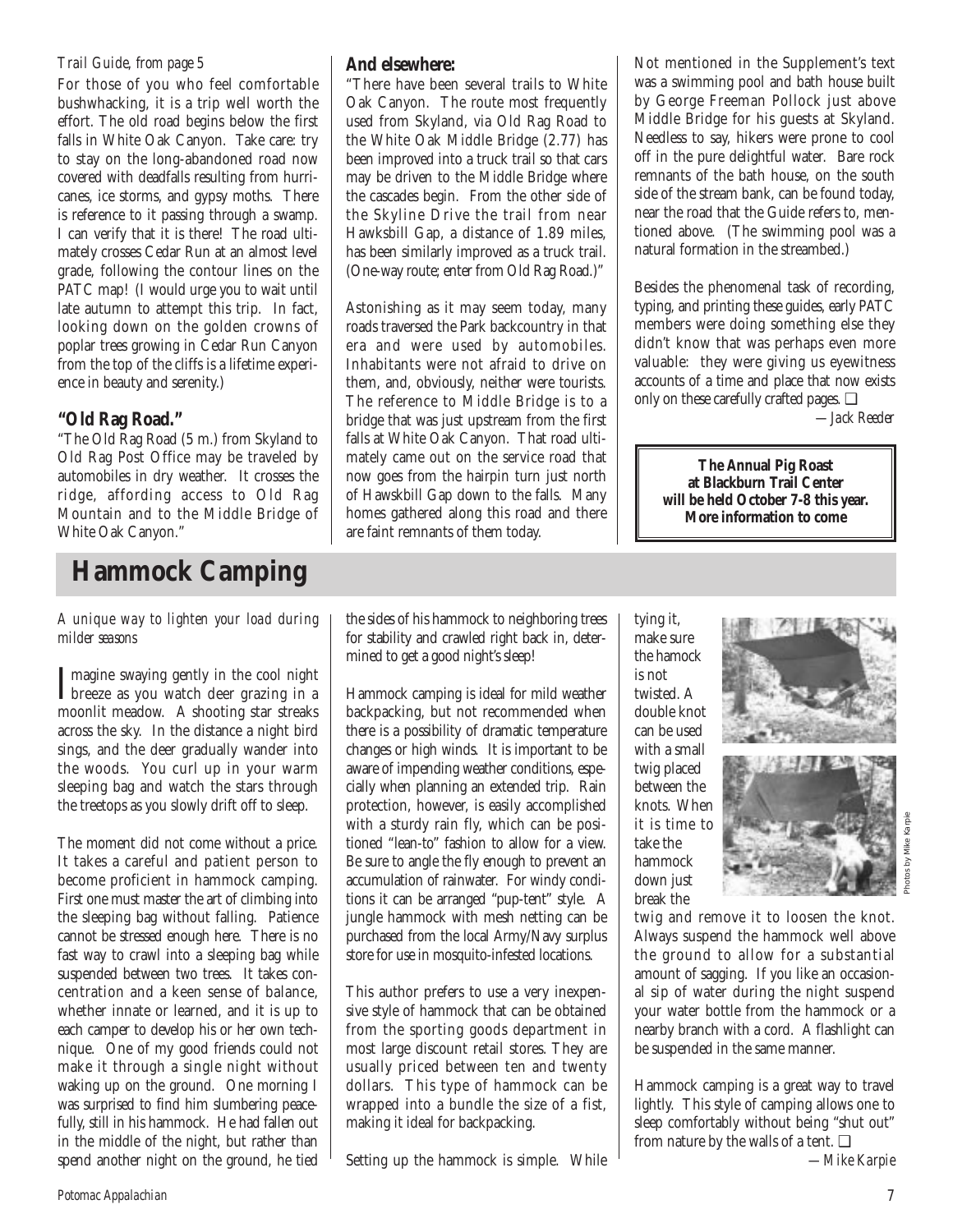### *Trail Guide, from page 5*

For those of you who feel comfortable bushwhacking, it is a trip well worth the effort. The old road begins below the first falls in White Oak Canyon. Take care: try to stay on the long-abandoned road now covered with deadfalls resulting from hurricanes, ice storms, and gypsy moths. There is reference to it passing through a swamp. I can verify that it is there! The road ultimately crosses Cedar Run at an almost level grade, following the contour lines on the PATC map! (I would urge you to wait until late autumn to attempt this trip. In fact, looking down on the golden crowns of poplar trees growing in Cedar Run Canyon from the top of the cliffs is a lifetime experience in beauty and serenity.)

## **"Old Rag Road."**

"The Old Rag Road (5 m.) from Skyland to Old Rag Post Office may be traveled by automobiles in dry weather. It crosses the ridge, affording access to Old Rag Mountain and to the Middle Bridge of White Oak Canyon."

## **Hammock Camping**

*A unique way to lighten your load during milder seasons*

Imagine swaying gently in the cool night<br>breeze as you watch deer grazing in a breeze as you watch deer grazing in a moonlit meadow. A shooting star streaks across the sky. In the distance a night bird sings, and the deer gradually wander into the woods. You curl up in your warm sleeping bag and watch the stars through the treetops as you slowly drift off to sleep.

The moment did not come without a price. It takes a careful and patient person to become proficient in hammock camping. First one must master the art of climbing into the sleeping bag without falling. Patience cannot be stressed enough here. There is no fast way to crawl into a sleeping bag while suspended between two trees. It takes concentration and a keen sense of balance, whether innate or learned, and it is up to each camper to develop his or her own technique. One of my good friends could not make it through a single night without waking up on the ground. One morning I was surprised to find him slumbering peacefully, still in his hammock. He had fallen out in the middle of the night, but rather than spend another night on the ground, he tied

## **And elsewhere:**

"There have been several trails to White Oak Canyon. The route most frequently used from Skyland, via Old Rag Road to the White Oak Middle Bridge (2.77) has been improved into a truck trail so that cars may be driven to the Middle Bridge where the cascades begin. From the other side of the Skyline Drive the trail from near Hawksbill Gap, a distance of 1.89 miles, has been similarly improved as a truck trail. (One-way route; enter from Old Rag Road.)"

Astonishing as it may seem today, many roads traversed the Park backcountry in that era and were used by automobiles. Inhabitants were not afraid to drive on them, and, obviously, neither were tourists. The reference to Middle Bridge is to a bridge that was just upstream from the first falls at White Oak Canyon. That road ultimately came out on the service road that now goes from the hairpin turn just north of Hawskbill Gap down to the falls. Many homes gathered along this road and there are faint remnants of them today.

Not mentioned in the Supplement's text was a swimming pool and bath house built by George Freeman Pollock just above Middle Bridge for his guests at Skyland. Needless to say, hikers were prone to cool off in the pure delightful water. Bare rock remnants of the bath house, on the south side of the stream bank, can be found today, near the road that the Guide refers to, mentioned above. (The swimming pool was a natural formation in the streambed.)

Besides the phenomenal task of recording, typing, and printing these guides, early PATC members were doing something else they didn't know that was perhaps even more valuable: they were giving us eyewitness accounts of a time and place that now exists only on these carefully crafted pages. ❑

*—Jack Reeder*

**The Annual Pig Roast at Blackburn Trail Center will be held October 7-8 this year. More information to come** 

the sides of his hammock to neighboring trees for stability and crawled right back in, determined to get a good night's sleep!

Hammock camping is ideal for mild weather backpacking, but not recommended when there is a possibility of dramatic temperature changes or high winds. It is important to be aware of impending weather conditions, especially when planning an extended trip. Rain protection, however, is easily accomplished with a sturdy rain fly, which can be positioned "lean-to" fashion to allow for a view. Be sure to angle the fly enough to prevent an accumulation of rainwater. For windy conditions it can be arranged "pup-tent" style. A jungle hammock with mesh netting can be purchased from the local Army/Navy surplus store for use in mosquito-infested locations.

This author prefers to use a very inexpensive style of hammock that can be obtained from the sporting goods department in most large discount retail stores. They are usually priced between ten and twenty dollars. This type of hammock can be wrapped into a bundle the size of a fist, making it ideal for backpacking.

Setting up the hammock is simple. While

tying it, make sure the hamock is not twisted. A double knot can be used with a small twig placed between the knots. When it is time to take the hammock down just break the





twig and remove it to loosen the knot. Always suspend the hammock well above the ground to allow for a substantial amount of sagging. If you like an occasional sip of water during the night suspend your water bottle from the hammock or a nearby branch with a cord. A flashlight can be suspended in the same manner.

Hammock camping is a great way to travel lightly. This style of camping allows one to sleep comfortably without being "shut out" from nature by the walls of a tent. ❑

*—Mike Karpie*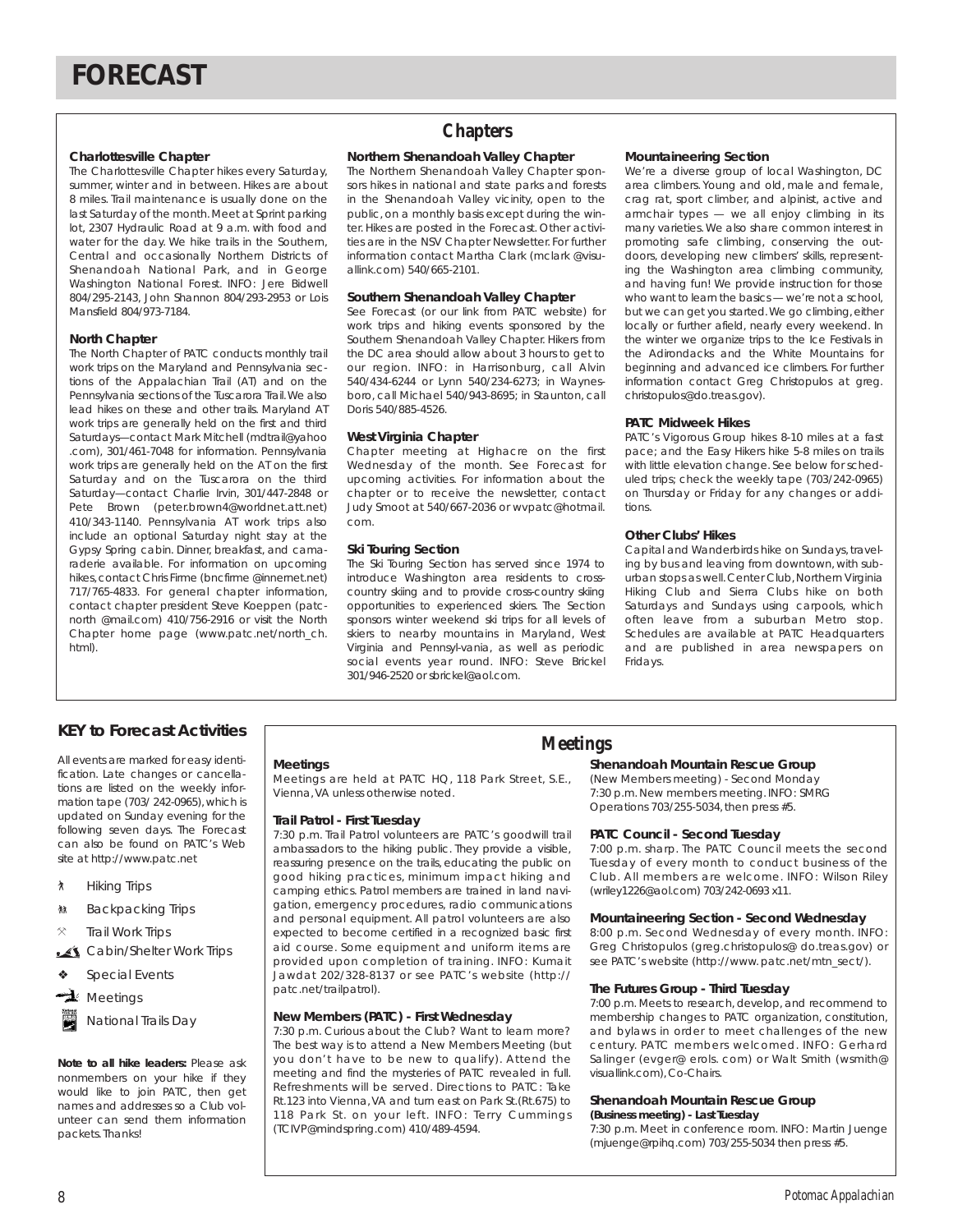### **Charlottesville Chapter**

The Charlottesville Chapter hikes every Saturday, summer, winter and in between. Hikes are about 8 miles. Trail maintenance is usually done on the last Saturday of the month.Meet at Sprint parking lot, 2307 Hydraulic Road at 9 a.m. with food and water for the day. We hike trails in the Southern, Central and occasionally Northern Districts of Shenandoah National Park, and in George Washington National Forest. INFO: Jere Bidwell 804/295-2143, John Shannon 804/293-2953 or Lois Mansfield 804/973-7184.

#### **North Chapter**

The North Chapter of PATC conducts monthly trail work trips on the Maryland and Pennsylvania sections of the Appalachian Trail (AT) and on the Pennsylvania sections of the Tuscarora Trail.We also lead hikes on these and other trails. Maryland AT work trips are generally held on the first and third Saturdays—contact Mark Mitchell (mdtrail@yahoo .com), 301/461-7048 for information. Pennsylvania work trips are generally held on the AT on the first Saturday and on the Tuscarora on the third Saturday—contact Charlie Irvin, 301/447-2848 or Pete Brown (peter.brown4@worldnet.att.net) 410/343-1140. Pennsylvania AT work trips also include an optional Saturday night stay at the Gypsy Spring cabin. Dinner, breakfast, and camaraderie available. For information on upcoming hikes, contact Chris Firme (bncfirme @innernet.net) 717/765-4833. For general chapter information, contact chapter president Steve Koeppen (patcnorth @mail.com) 410/756-2916 or visit the North Chapter home page (www.patc.net/north\_ch. html).

## **Chapters**

#### **Northern Shenandoah Valley Chapter**

The Northern Shenandoah Valley Chapter sponsors hikes in national and state parks and forests in the Shenandoah Valley vicinity, open to the public, on a monthly basis except during the winter. Hikes are posted in the Forecast. Other activities are in the NSV Chapter Newsletter. For further information contact Martha Clark (mclark @visuallink.com) 540/665-2101.

#### **Southern Shenandoah Valley Chapter**

See Forecast (or our link from PATC website) for work trips and hiking events sponsored by the Southern Shenandoah Valley Chapter. Hikers from the DC area should allow about 3 hours to get to our region. INFO: in Harrisonburg, call Alvin 540/434-6244 or Lynn 540/234-6273; in Waynesboro, call Michael 540/943-8695; in Staunton, call Doris 540/885-4526.

#### **West Virginia Chapter**

Chapter meeting at Highacre on the first Wednesday of the month. See Forecast for upcoming activities. For information about the chapter or to receive the newsletter, contact Judy Smoot at 540/667-2036 or wvpatc@hotmail. com.

#### **Ski Touring Section**

The Ski Touring Section has served since 1974 to introduce Washington area residents to crosscountry skiing and to provide cross-country skiing opportunities to experienced skiers. The Section sponsors winter weekend ski trips for all levels of skiers to nearby mountains in Maryland, West Virginia and Pennsyl-vania, as well as periodic social events year round. INFO: Steve Brickel 301/946-2520 or sbrickel@aol.com.

#### **Mountaineering Section**

We're a diverse group of local Washington, DC area climbers. Young and old, male and female, crag rat, sport climber, and alpinist, active and armchair types — we all enjoy climbing in its many varieties.We also share common interest in promoting safe climbing, conserving the outdoors, developing new climbers' skills, representing the Washington area climbing community, and having fun! We provide instruction for those who want to learn the basics — we're not a school, but we can get you started. We go climbing, either locally or further afield, nearly every weekend. In the winter we organize trips to the Ice Festivals in the Adirondacks and the White Mountains for beginning and advanced ice climbers. For further information contact Greg Christopulos at greg. christopulos@do.treas.gov).

#### **PATC Midweek Hikes**

PATC's Vigorous Group hikes 8-10 miles at a fast pace; and the Easy Hikers hike 5-8 miles on trails with little elevation change. See below for scheduled trips; check the weekly tape (703/242-0965) on Thursday or Friday for any changes or additions.

#### **Other Clubs' Hikes**

Capital and Wanderbirds hike on Sundays, traveling by bus and leaving from downtown, with suburban stops as well. Center Club, Northern Virginia Hiking Club and Sierra Clubs hike on both Saturdays and Sundays using carpools, which often leave from a suburban Metro stop. Schedules are available at PATC Headquarters and are published in area newspapers on Fridays.

## **Meetings KEY to Forecast Activities**

All events are marked for easy identification. Late changes or cancellations are listed on the weekly information tape (703/ 242-0965), which is updated on Sunday evening for the following seven days. The Forecast can also be found on PATC's Web site at http://www.patc.net

- ` Hiking Trips
- **M** Backpacking Trips
- **Trail Work Trips**
- Cabin/Shelter Work Trips
- Special Events
- $\rightarrow$  Meetings
- National Trails Day

*Note to all hike leaders:* Please ask nonmembers on your hike if they would like to join PATC, then get names and addresses so a Club volunteer can send them information packets. Thanks!

#### **Meetings**

Meetings are held at PATC HQ, 118 Park Street, S.E., Vienna,VA unless otherwise noted.

#### **Trail Patrol - First Tuesday**

7:30 p.m. Trail Patrol volunteers are PATC's goodwill trail ambassadors to the hiking public. They provide a visible, reassuring presence on the trails, educating the public on good hiking practices, minimum impact hiking and camping ethics. Patrol members are trained in land navigation, emergency procedures, radio communications and personal equipment. All patrol volunteers are also expected to become certified in a recognized basic first aid course. Some equipment and uniform items are provided upon completion of training. INFO: Kumait Jawdat 202/328-8137 or see PATC's website (http:// patc.net/trailpatrol).

#### **New Members (PATC) - First Wednesday**

7:30 p.m. Curious about the Club? Want to learn more? The best way is to attend a New Members Meeting (but you don't have to be new to qualify). Attend the meeting and find the mysteries of PATC revealed in full. Refreshments will be served. Directions to PATC: Take Rt.123 into Vienna,VA and turn east on Park St.(Rt.675) to 118 Park St. on your left. INFO: Terry Cummings (TCIVP@mindspring.com) 410/489-4594.

#### **Shenandoah Mountain Rescue Group**

(New Members meeting) - Second Monday 7:30 p.m. New members meeting. INFO: SMRG Operations 703/255-5034,then press #5.

#### **PATC Council - Second Tuesday**

7:00 p.m. sharp. The PATC Council meets the second Tuesday of every month to conduct business of the Club. All members are welcome. INFO: Wilson Riley (wriley1226@aol.com) 703/242-0693 x11.

#### **Mountaineering Section - Second Wednesday**

8:00 p.m. Second Wednesday of every month. INFO: Greg Christopulos (greg.christopulos@ do.treas.gov) or see PATC's website (http://www.patc.net/mtn\_sect/).

#### **The Futures Group - Third Tuesday**

7:00 p.m. Meets to research, develop, and recommend to membership changes to PATC organization, constitution, and bylaws in order to meet challenges of the new century. PATC members welcomed. INFO: Gerhard Salinger (evger@ erols. com) or Walt Smith (wsmith@ visuallink.com), Co-Chairs.

### **Shenandoah Mountain Rescue Group**

**(Business meeting) - Last Tuesday**  7:30 p.m. Meet in conference room. INFO: Martin Juenge (mjuenge@rpihq.com) 703/255-5034 then press #5.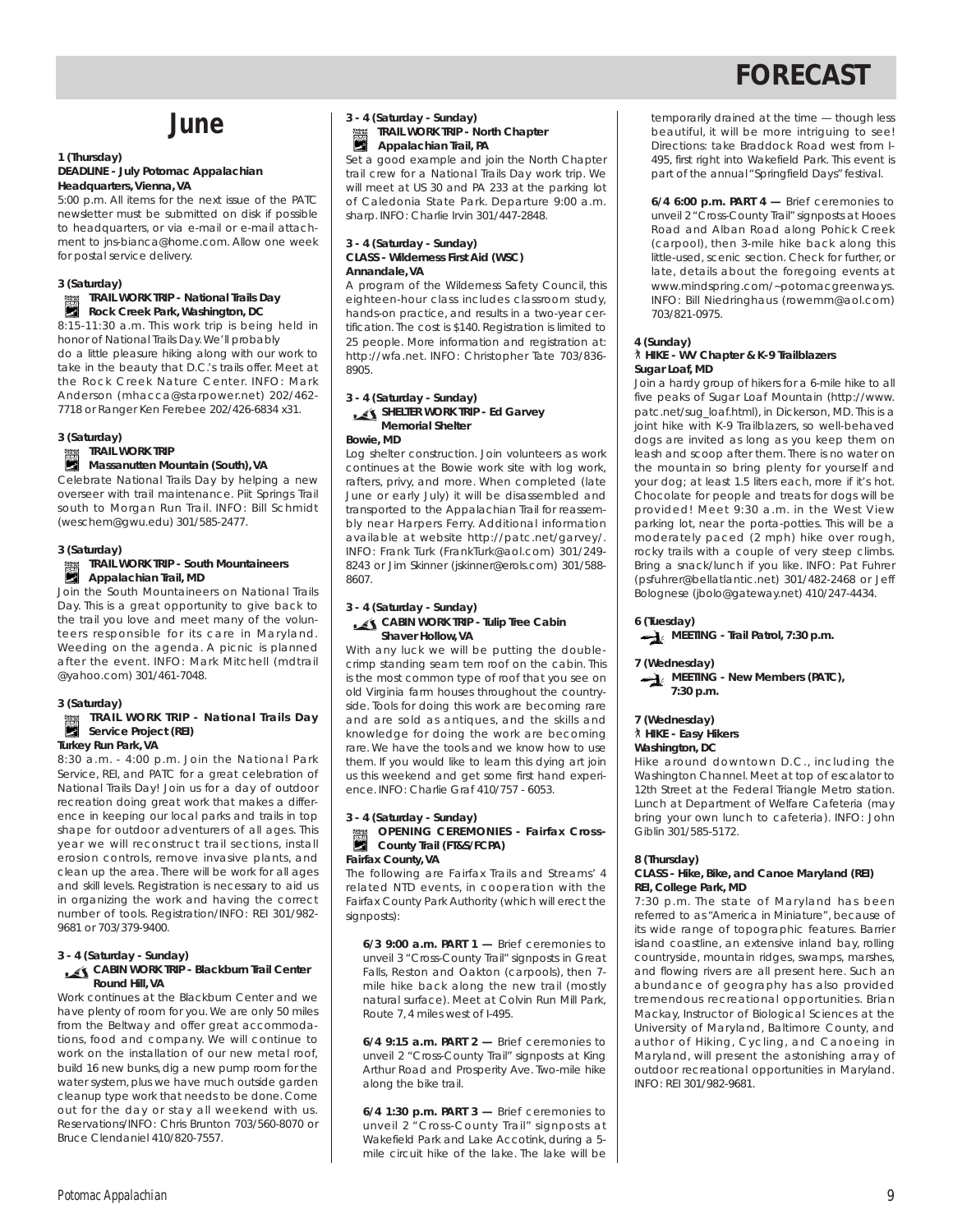## **June**

#### **1 (Thursday) DEADLINE - July** *Potomac Appalachian* **Headquarters, Vienna, VA**

5:00 p.m. All items for the next issue of the PATC newsletter must be submitted on disk if possible to headquarters, or via e-mail or e-mail attachment to jns-bianca@home.com. Allow one week for postal service delivery.

#### **3 (Saturday)**

#### **TRAIL WORK TRIP - National Trails Day Rock Creek Park, Washington, DC**

8:15-11:30 a.m. This work trip is being held in honor of National Trails Day.We'll probably do a little pleasure hiking along with our work to take in the beauty that D.C.'s trails offer. Meet at the Rock Creek Nature Center. INFO: Mark Anderson (mhacca@starpower.net) 202/462- 7718 or Ranger Ken Ferebee 202/426-6834 x31.

**3 (Saturday) TRAIL WORK TRIP**

#### **Massanutten Mountain (South), VA**

Celebrate National Trails Day by helping a new overseer with trail maintenance. Piit Springs Trail south to Morgan Run Trail. INFO: Bill Schmidt (weschem@gwu.edu) 301/585-2477.

#### **3 (Saturday)**

## **TRAIL WORK TRIP - South Mountaineers Appalachian Trail, MD**<br>**Appalachian Trail, MD**

Join the South Mountaineers on National Trails Day. This is a great opportunity to give back to the trail you love and meet many of the volunteers responsible for its care in Maryland. Weeding on the agenda. A picnic is planned after the event. INFO: Mark Mitchell (mdtrail @yahoo.com) 301/461-7048.

#### **3 (Saturday)**

#### **TRAIL WORK TRIP - National Trails Day** Service Project (REI) **Turkey Run Park, VA**

8:30 a.m. - 4:00 p.m. Join the National Park Service, REI, and PATC for a great celebration of National Trails Day! Join us for a day of outdoor recreation doing great work that makes a difference in keeping our local parks and trails in top shape for outdoor adventurers of all ages. This year we will reconstruct trail sections, install erosion controls, remove invasive plants, and clean up the area. There will be work for all ages and skill levels. Registration is necessary to aid us in organizing the work and having the correct number of tools. Registration/INFO: REI 301/982- 9681 or 703/379-9400.

#### **3 - 4 (Saturday - Sunday) CABIN WORK TRIP - Blackburn Trail Center Round Hill, VA**

Work continues at the Blackburn Center and we have plenty of room for you. We are only 50 miles from the Beltway and offer great accommodations, food and company. We will continue to work on the installation of our new metal roof, build 16 new bunks, dig a new pump room for the water system, plus we have much outside garden cleanup type work that needs to be done. Come out for the day or stay all weekend with us. Reservations/INFO: Chris Brunton 703/560-8070 or Bruce Clendaniel 410/820-7557.

#### **3 - 4 (Saturday - Sunday) TRAIL WORK TRIP - North Chapter Appalachian Trail, PA**

Set a good example and join the North Chapter trail crew for a National Trails Day work trip. We will meet at US 30 and PA 233 at the parking lot of Caledonia State Park. Departure 9:00 a.m. sharp. INFO: Charlie Irvin 301/447-2848.

#### **3 - 4 (Saturday - Sunday) CLASS - Wilderness First Aid (WSC) Annandale, VA**

A program of the Wilderness Safety Council, this eighteen-hour class includes classroom study, hands-on practice, and results in a two-year certification. The cost is \$140. Registration is limited to 25 people. More information and registration at: http://wfa.net. INFO: Christopher Tate 703/836- 8905.

## **3 - 4 (Saturday - Sunday)**

### **SHELTER WORK TRIP - Ed Garvey Memorial Shelter**

**Bowie, MD**

Log shelter construction. Join volunteers as work continues at the Bowie work site with log work, rafters, privy, and more. When completed (late June or early July) it will be disassembled and transported to the Appalachian Trail for reassembly near Harpers Ferry. Additional information available at website http://patc.net/garvey/. INFO: Frank Turk (FrankTurk@aol.com) 301/249- 8243 or Jim Skinner (jskinner@erols.com) 301/588- 8607.

#### **3 - 4 (Saturday - Sunday) CABIN WORK TRIP - Tulip Tree Cabin**

#### **Shaver Hollow, VA** With any luck we will be putting the doublecrimp standing seam tern roof on the cabin. This

is the most common type of roof that you see on old Virginia farm houses throughout the countryside. Tools for doing this work are becoming rare and are sold as antiques, and the skills and knowledge for doing the work are becoming rare. We have the tools and we know how to use them. If you would like to learn this dying art join us this weekend and get some first hand experience. INFO: Charlie Graf 410/757 - 6053.

#### **3 - 4 (Saturday - Sunday) OPENING CEREMONIES - Fairfax Cross-County Trail (FT&S/FCPA) Fairfax County, VA**

The following are Fairfax Trails and Streams' 4 related NTD events, in cooperation with the Fairfax County Park Authority (which will erect the signposts):

**6/3 9:00 a.m. PART 1 —** Brief ceremonies to unveil 3 "Cross-County Trail" signposts in Great Falls, Reston and Oakton (carpools), then 7 mile hike back along the new trail (mostly natural surface). Meet at Colvin Run Mill Park, Route 7, 4 miles west of I-495.

**6/4 9:15 a.m. PART 2 —** Brief ceremonies to unveil 2 "Cross-County Trail" signposts at King Arthur Road and Prosperity Ave. Two-mile hike along the bike trail.

**6/4 1:30 p.m. PART 3 —** Brief ceremonies to unveil 2 "Cross-County Trail" signposts at Wakefield Park and Lake Accotink, during a 5 mile circuit hike of the lake. The lake will be temporarily drained at the time — though less beautiful, it will be more intriguing to see! Directions: take Braddock Road west from I-495, first right into Wakefield Park. This event is part of the annual "Springfield Days" festival.

**6/4 6:00 p.m. PART 4 —** Brief ceremonies to unveil 2 "Cross-County Trail" signposts at Hooes Road and Alban Road along Pohick Creek (carpool), then 3-mile hike back along this little-used, scenic section. Check for further, or late, details about the foregoing events at www.mindspring.com/~potomacgreenways. INFO: Bill Niedringhaus (rowemm@aol.com) 703/821-0975.

#### **4 (Sunday)**

#### ` **HIKE - WV Chapter & K-9 Trailblazers Sugar Loaf, MD**

Join a hardy group of hikers for a 6-mile hike to all five peaks of Sugar Loaf Mountain (http://www. patc.net/sug\_loaf.html), in Dickerson, MD. This is a joint hike with K-9 Trailblazers, so well-behaved dogs are invited as long as you keep them on leash and scoop after them. There is no water on the mountain so bring plenty for yourself and your dog; at least 1.5 liters each, more if it's hot. Chocolate for people and treats for dogs will be provided! Meet 9:30 a.m. in the West View parking lot, near the porta-potties. This will be a moderately paced (2 mph) hike over rough, rocky trails with a couple of very steep climbs. Bring a snack/lunch if you like. INFO: Pat Fuhrer (psfuhrer@bellatlantic.net) 301/482-2468 or Jeff Bolognese (jbolo@gateway.net) 410/247-4434.

**6 (Tuesday)**

### **MEETING - Trail Patrol, 7:30 p.m.**

#### **7 (Wednesday)**



## **7 (Wednesday)**

` **HIKE - Easy Hikers**

### **Washington, DC**

Hike around downtown D.C., including the Washington Channel. Meet at top of escalator to 12th Street at the Federal Triangle Metro station. Lunch at Department of Welfare Cafeteria (may bring your own lunch to cafeteria). INFO: John Giblin 301/585-5172.

#### **8 (Thursday)**

#### **CLASS - Hike, Bike, and Canoe Maryland (REI) REI, College Park, MD**

7:30 p.m. The state of Maryland has been referred to as "America in Miniature", because of its wide range of topographic features. Barrier island coastline, an extensive inland bay, rolling countryside, mountain ridges, swamps, marshes, and flowing rivers are all present here. Such an abundance of geography has also provided tremendous recreational opportunities. Brian Mackay, Instructor of Biological Sciences at the University of Maryland, Baltimore County, and author of Hiking, Cycling, and Canoeing in Maryland, will present the astonishing array of outdoor recreational opportunities in Maryland. INFO: REI 301/982-9681.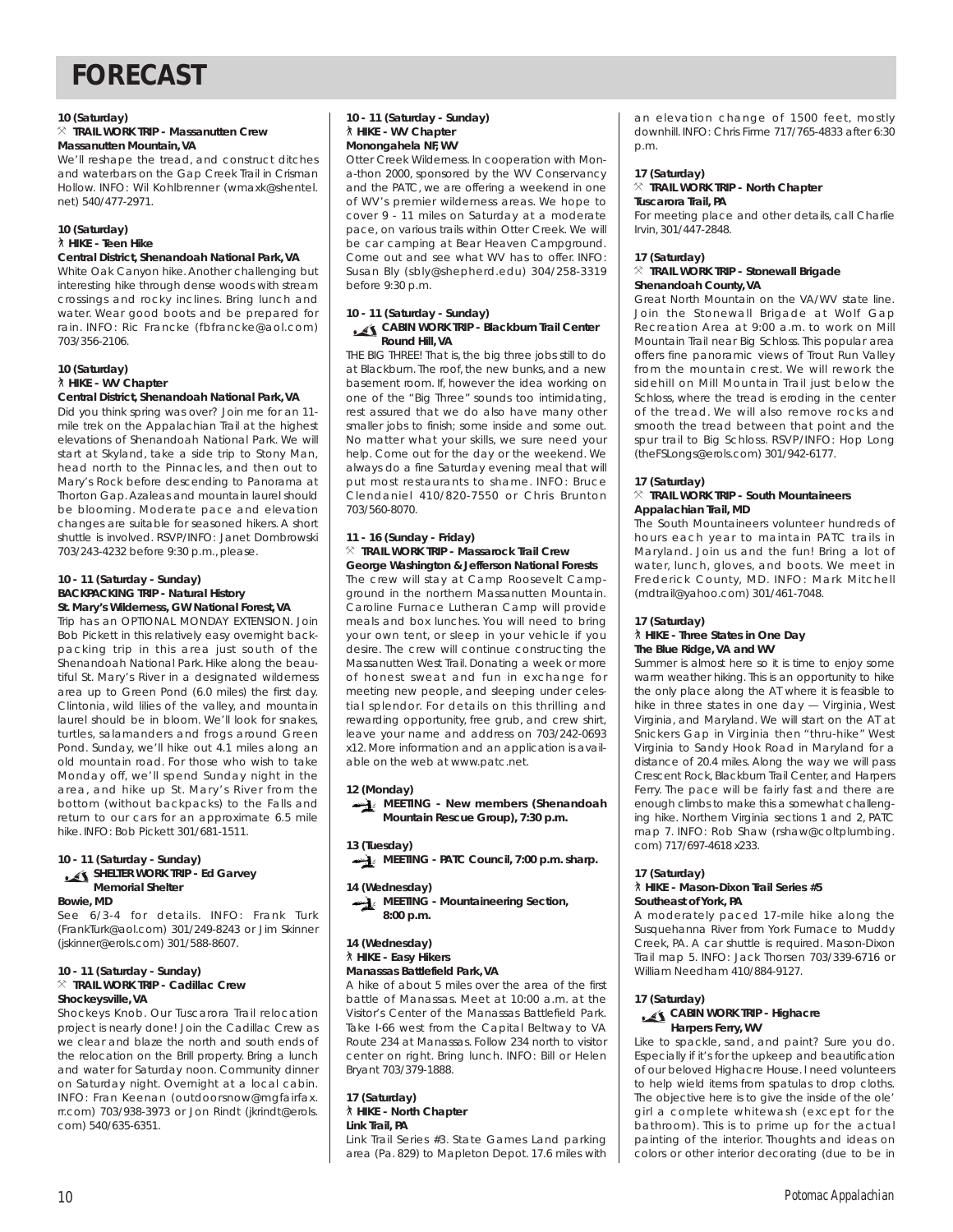#### **10 (Saturday)**

#### } **TRAIL WORK TRIP - Massanutten Crew Massanutten Mountain, VA**

We'll reshape the tread, and construct ditches and waterbars on the Gap Creek Trail in Crisman Hollow. INFO: Wil Kohlbrenner (wmaxk@shentel. net) 540/477-2971.

#### **10 (Saturday)** ` **HIKE - Teen Hike**

#### **Central District, Shenandoah National Park, VA**

White Oak Canyon hike. Another challenging but interesting hike through dense woods with stream crossings and rocky inclines. Bring lunch and water. Wear good boots and be prepared for rain. INFO: Ric Francke (fbfrancke@aol.com) 703/356-2106.

#### **10 (Saturday)** ` **HIKE - WV Chapter Central District, Shenandoah National Park, VA**

Did you think spring was over? Join me for an 11 mile trek on the Appalachian Trail at the highest

elevations of Shenandoah National Park. We will start at Skyland, take a side trip to Stony Man, head north to the Pinnacles, and then out to Mary's Rock before descending to Panorama at Thorton Gap. Azaleas and mountain laurel should be blooming. Moderate pace and elevation changes are suitable for seasoned hikers. A short shuttle is involved. RSVP/INFO: Janet Dombrowski 703/243-4232 before 9:30 p.m., please.

#### **10 - 11 (Saturday - Sunday) BACKPACKING TRIP - Natural History St. Mary's Wilderness, GW National Forest, VA**

Trip has an OPTIONAL MONDAY EXTENSION. Join Bob Pickett in this relatively easy overnight backpacking trip in this area just south of the Shenandoah National Park. Hike along the beautiful St. Mary's River in a designated wilderness area up to Green Pond (6.0 miles) the first day. Clintonia, wild lilies of the valley, and mountain laurel should be in bloom. We'll look for snakes, turtles, salamanders and frogs around Green Pond. Sunday, we'll hike out 4.1 miles along an old mountain road. For those who wish to take Monday off, we'll spend Sunday night in the area, and hike up St. Mary's River from the bottom (without backpacks) to the Falls and return to our cars for an approximate 6.5 mile hike. INFO: Bob Pickett 301/681-1511.

#### **10 - 11 (Saturday - Sunday) SHELTER WORK TRIP - Ed Garvey Memorial Shelter**

**Bowie, MD**

See 6/3-4 for details. INFO: Frank Turk (FrankTurk@aol.com) 301/249-8243 or Jim Skinner (jskinner@erols.com) 301/588-8607.

#### **10 - 11 (Saturday - Sunday)** } **TRAIL WORK TRIP - Cadillac Crew Shockeysville, VA**

Shockeys Knob. Our Tuscarora Trail relocation project is nearly done! Join the Cadillac Crew as we clear and blaze the north and south ends of the relocation on the Brill property. Bring a lunch and water for Saturday noon. Community dinner on Saturday night. Overnight at a local cabin. INFO: Fran Keenan (outdoorsnow@mgfairfax. rr.com) 703/938-3973 or Jon Rindt (jkrindt@erols. com) 540/635-6351.

#### **10 - 11 (Saturday - Sunday)** ` **HIKE - WV Chapter Monongahela NF, WV**

Otter Creek Wilderness. In cooperation with Mona-thon 2000, sponsored by the WV Conservancy and the PATC, we are offering a weekend in one of WV's premier wilderness areas. We hope to cover 9 - 11 miles on Saturday at a moderate pace, on various trails within Otter Creek. We will be car camping at Bear Heaven Campground. Come out and see what WV has to offer. INFO: Susan Bly (sbly@shepherd.edu) 304/258-3319 before 9:30 p.m.

## **10 - 11 (Saturday - Sunday)**

#### **CABIN WORK TRIP - Blackburn Trail Center Round Hill, VA**

THE BIG THREE! That is, the big three jobs still to do at Blackburn. The roof, the new bunks, and a new basement room. If, however the idea working on one of the "Big Three" sounds too intimidating, rest assured that we do also have many other smaller jobs to finish; some inside and some out. No matter what your skills, we sure need your help. Come out for the day or the weekend. We always do a fine Saturday evening meal that will put most restaurants to shame. INFO: Bruce Clendaniel 410/820-7550 or Chris Brunton 703/560-8070.

## **11 - 16 (Sunday - Friday)**

#### } **TRAIL WORK TRIP - Massarock Trail Crew George Washington & Jefferson National Forests**

The crew will stay at Camp Roosevelt Campground in the northern Massanutten Mountain. Caroline Furnace Lutheran Camp will provide meals and box lunches. You will need to bring your own tent, or sleep in your vehicle if you desire. The crew will continue constructing the Massanutten West Trail. Donating a week or more of honest sweat and fun in exchange for meeting new people, and sleeping under celestial splendor. For details on this thrilling and rewarding opportunity, free grub, and crew shirt, leave your name and address on 703/242-0693 x12. More information and an application is available on the web at www.patc.net.

### **12 (Monday)**

**MEETING - New members (Shenandoah Mountain Rescue Group), 7:30 p.m.**

### **13 (Tuesday)**

**MEETING - PATC Council, 7:00 p.m. sharp.**

### **14 (Wednesday)**



#### **14 (Wednesday)** ` **HIKE - Easy Hikers Manassas Battlefield Park, VA**

A hike of about 5 miles over the area of the first battle of Manassas. Meet at 10:00 a.m. at the Visitor's Center of the Manassas Battlefield Park. Take I-66 west from the Capital Beltway to VA Route 234 at Manassas. Follow 234 north to visitor center on right. Bring lunch. INFO: Bill or Helen Bryant 703/379-1888.

#### **17 (Saturday)** ` **HIKE - North Chapter Link Trail, PA**

Link Trail Series #3. State Games Land parking area (Pa. 829) to Mapleton Depot. 17.6 miles with an elevation change of 1500 feet, mostly downhill. INFO: Chris Firme 717/765-4833 after 6:30 p.m.

#### **17 (Saturday)** } **TRAIL WORK TRIP - North Chapter Tuscarora Trail, PA**

For meeting place and other details, call Charlie Irvin, 301/447-2848.

### **17 (Saturday)**

#### } **TRAIL WORK TRIP - Stonewall Brigade Shenandoah County, VA**

Great North Mountain on the VA/WV state line. Join the Stonewall Brigade at Wolf Gap Recreation Area at 9:00 a.m. to work on Mill Mountain Trail near Big Schloss. This popular area offers fine panoramic views of Trout Run Valley from the mountain crest. We will rework the sidehill on Mill Mountain Trail just below the Schloss, where the tread is eroding in the center of the tread. We will also remove rocks and smooth the tread between that point and the spur trail to Big Schloss. RSVP/INFO: Hop Long (theFSLongs@erols.com) 301/942-6177.

### **17 (Saturday)**

#### } **TRAIL WORK TRIP - South Mountaineers Appalachian Trail, MD**

The South Mountaineers volunteer hundreds of hours each year to maintain PATC trails in Maryland. Join us and the fun! Bring a lot of water, lunch, gloves, and boots. We meet in Frederick County, MD. INFO: Mark Mitchell (mdtrail@yahoo.com) 301/461-7048.

### **17 (Saturday)**

#### ` **HIKE - Three States in One Day The Blue Ridge, VA and WV**

Summer is almost here so it is time to enjoy some warm weather hiking. This is an opportunity to hike the only place along the AT where it is feasible to hike in three states in one day — Virginia, West Virginia, and Maryland. We will start on the AT at Snickers Gap in Virginia then "thru-hike" West Virginia to Sandy Hook Road in Maryland for a distance of 20.4 miles. Along the way we will pass Crescent Rock, Blackburn Trail Center, and Harpers Ferry. The pace will be fairly fast and there are enough climbs to make this a somewhat challenging hike. Northern Virginia sections 1 and 2, PATC map 7. INFO: Rob Shaw (rshaw@coltplumbing. com) 717/697-4618 x233.

### **17 (Saturday)**

#### ` **HIKE - Mason-Dixon Trail Series #5 Southeast of York, PA**

A moderately paced 17-mile hike along the Susquehanna River from York Furnace to Muddy Creek, PA. A car shuttle is required. Mason-Dixon Trail map 5. INFO: Jack Thorsen 703/339-6716 or William Needham 410/884-9127.

## **17 (Saturday)**

#### **CABIN WORK TRIP - Highacre Harpers Ferry, WV**

Like to spackle, sand, and paint? Sure you do. Especially if it's for the upkeep and beautification of our beloved Highacre House. I need volunteers to help wield items from spatulas to drop cloths. The objective here is to give the inside of the ole' girl a complete whitewash (except for the bathroom). This is to prime up for the actual painting of the interior. Thoughts and ideas on colors or other interior decorating (due to be in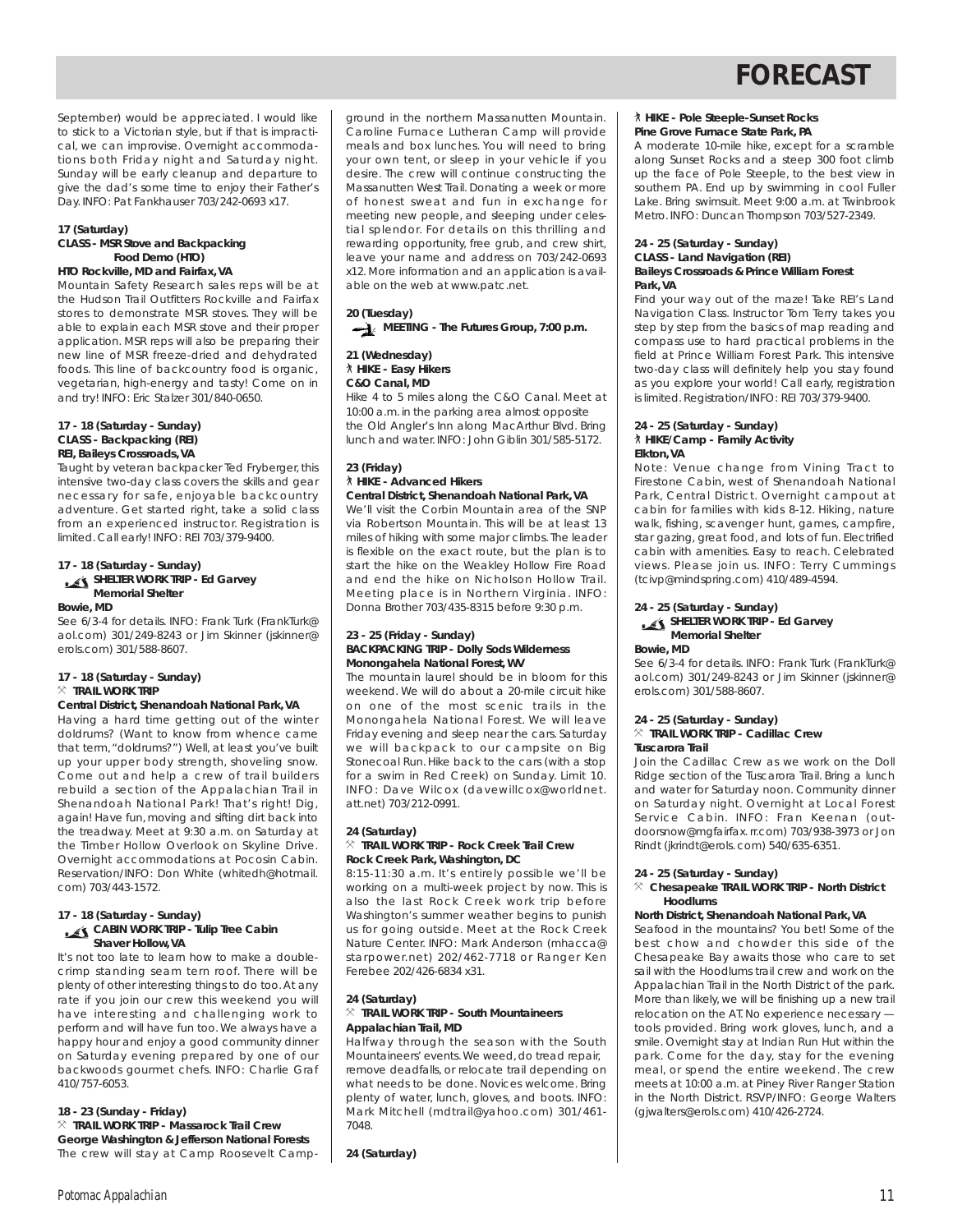September) would be appreciated. I would like to stick to a Victorian style, but if that is impractical, we can improvise. Overnight accommodations both Friday night and Saturday night. Sunday will be early cleanup and departure to give the dad's some time to enjoy their Father's Day. INFO: Pat Fankhauser 703/242-0693 x17.

#### **17 (Saturday) CLASS - MSR Stove and Backpacking Food Demo (HTO)**

## **HTO Rockville, MD and Fairfax, VA**

Mountain Safety Research sales reps will be at the Hudson Trail Outfitters Rockville and Fairfax stores to demonstrate MSR stoves. They will be able to explain each MSR stove and their proper application. MSR reps will also be preparing their new line of MSR freeze-dried and dehydrated foods. This line of backcountry food is organic, vegetarian, high-energy and tasty! Come on in and try! INFO: Eric Stalzer 301/840-0650.

#### **17 - 18 (Saturday - Sunday) CLASS - Backpacking (REI) REI, Baileys Crossroads, VA**

Taught by veteran backpacker Ted Fryberger, this intensive two-day class covers the skills and gear necessary for safe, enjoyable backcountry adventure. Get started right, take a solid class from an experienced instructor. Registration is limited. Call early! INFO: REI 703/379-9400.

#### **17 - 18 (Saturday - Sunday) SHELTER WORK TRIP - Ed Garvey Memorial Shelter**

#### **Bowie, MD**

See 6/3-4 for details. INFO: Frank Turk (FrankTurk@ aol.com) 301/249-8243 or Jim Skinner (jskinner@ erols.com) 301/588-8607.

#### **17 - 18 (Saturday - Sunday)**  $\times$  **TRAIL WORK TRIP**

#### **Central District, Shenandoah National Park, VA**

Having a hard time getting out of the winter doldrums? (Want to know from whence came that term, "doldrums?") Well, at least you've built up your upper body strength, shoveling snow. Come out and help a crew of trail builders rebuild a section of the Appalachian Trail in Shenandoah National Park! That's right! Dig, again! Have fun, moving and sifting dirt back into the treadway. Meet at 9:30 a.m. on Saturday at the Timber Hollow Overlook on Skyline Drive. Overnight accommodations at Pocosin Cabin. Reservation/INFO: Don White (whitedh@hotmail. com) 703/443-1572.

#### **17 - 18 (Saturday - Sunday) CABIN WORK TRIP - Tulip Tree Cabin Shaver Hollow, VA**

It's not too late to learn how to make a doublecrimp standing seam tern roof. There will be plenty of other interesting things to do too. At any rate if you join our crew this weekend you will have interesting and challenging work to perform and will have fun too. We always have a happy hour and enjoy a good community dinner on Saturday evening prepared by one of our backwoods gourmet chefs. INFO: Charlie Graf 410/757-6053.

#### **18 - 23 (Sunday - Friday)**

} **TRAIL WORK TRIP - Massarock Trail Crew George Washington & Jefferson National Forests** The crew will stay at Camp Roosevelt Camp-

ground in the northern Massanutten Mountain. Caroline Furnace Lutheran Camp will provide meals and box lunches. You will need to bring your own tent, or sleep in your vehicle if you desire. The crew will continue constructing the Massanutten West Trail. Donating a week or more of honest sweat and fun in exchange for meeting new people, and sleeping under celestial splendor. For details on this thrilling and rewarding opportunity, free grub, and crew shirt, leave your name and address on 703/242-0693 x12. More information and an application is available on the web at www.patc.net.

## **20 (Tuesday) MEETING - The Futures Group, 7:00 p.m.**

#### **21 (Wednesday)** ` **HIKE - Easy Hikers C&O Canal, MD**

Hike 4 to 5 miles along the C&O Canal. Meet at 10:00 a.m. in the parking area almost opposite the Old Angler's Inn along MacArthur Blvd. Bring lunch and water. INFO: John Giblin 301/585-5172.

#### **23 (Friday)** ` **HIKE - Advanced Hikers Central District, Shenandoah National Park, VA**

We'll visit the Corbin Mountain area of the SNP via Robertson Mountain. This will be at least 13 miles of hiking with some major climbs. The leader is flexible on the exact route, but the plan is to start the hike on the Weakley Hollow Fire Road and end the hike on Nicholson Hollow Trail. Meeting place is in Northern Virginia. INFO: Donna Brother 703/435-8315 before 9:30 p.m.

#### **23 - 25 (Friday - Sunday) BACKPACKING TRIP - Dolly Sods Wilderness Monongahela National Forest, WV**

The mountain laurel should be in bloom for this weekend. We will do about a 20-mile circuit hike on one of the most scenic trails in the Monongahela National Forest. We will leave Friday evening and sleep near the cars. Saturday we will backpack to our campsite on Big Stonecoal Run. Hike back to the cars (with a stop for a swim in Red Creek) on Sunday. Limit 10. INFO: Dave Wilcox (davewillcox@worldnet. att.net) 703/212-0991.

#### **24 (Saturday)** } **TRAIL WORK TRIP - Rock Creek Trail Crew Rock Creek Park, Washington, DC**

8:15-11:30 a.m. It's entirely possible we'll be working on a multi-week project by now. This is also the last Rock Creek work trip before Washington's summer weather begins to punish us for going outside. Meet at the Rock Creek Nature Center. INFO: Mark Anderson (mhacca@ starpower.net) 202/462-7718 or Ranger Ken Ferebee 202/426-6834 x31.

## **24 (Saturday)**

#### $%$  TRAIL WORK TRIP - South Mountaineers **Appalachian Trail, MD**

Halfway through the season with the South Mountaineers' events. We weed, do tread repair, remove deadfalls, or relocate trail depending on what needs to be done. Novices welcome. Bring plenty of water, lunch, gloves, and boots. INFO: Mark Mitchell (mdtrail@yahoo.com) 301/461- 7048.

**24 (Saturday)**

#### ` **HIKE - Pole Steeple-Sunset Rocks Pine Grove Furnace State Park, PA**

A moderate 10-mile hike, except for a scramble along Sunset Rocks and a steep 300 foot climb up the face of Pole Steeple, to the best view in southern PA. End up by swimming in cool Fuller Lake. Bring swimsuit. Meet 9:00 a.m. at Twinbrook Metro. INFO: Duncan Thompson 703/527-2349.

#### **24 - 25 (Saturday - Sunday) CLASS - Land Navigation (REI) Baileys Crossroads & Prince William Forest Park, VA**

Find your way out of the maze! Take REI's Land Navigation Class. Instructor Tom Terry takes you step by step from the basics of map reading and compass use to hard practical problems in the field at Prince William Forest Park. This intensive two-day class will definitely help you stay found as you explore your world! Call early, registration is limited. Registration/INFO: REI 703/379-9400.

#### **24 - 25 (Saturday - Sunday)** ` **HIKE/Camp - Family Activity Elkton, VA**

*Note:* Venue change from Vining Tract to Firestone Cabin, west of Shenandoah National Park, Central District. Overnight campout at cabin for families with kids 8-12. Hiking, nature walk, fishing, scavenger hunt, games, campfire, star gazing, great food, and lots of fun. Electrified cabin with amenities. Easy to reach. Celebrated views. Please join us. INFO: Terry Cummings (tcivp@mindspring.com) 410/489-4594.

#### **24 - 25 (Saturday - Sunday) SHELTER WORK TRIP - Ed Garvey**

## **Memorial Shelter**

**Bowie, MD**

See 6/3-4 for details. INFO: Frank Turk (FrankTurk@ aol.com) 301/249-8243 or Jim Skinner (jskinner@ erols.com) 301/588-8607.

#### **24 - 25 (Saturday - Sunday)**

#### $\times$  **TRAIL WORK TRIP - Cadillac Crew Tuscarora Trail**

Join the Cadillac Crew as we work on the Doll Ridge section of the Tuscarora Trail. Bring a lunch and water for Saturday noon. Community dinner on Saturday night. Overnight at Local Forest Service Cabin. INFO: Fran Keenan (outdoorsnow@mgfairfax. rr.com) 703/938-3973 or Jon Rindt (jkrindt@erols. com) 540/635-6351.

#### **24 - 25 (Saturday - Sunday)**

#### } **Chesapeake TRAIL WORK TRIP - North District Hoodlums**

#### **North District, Shenandoah National Park, VA**

Seafood in the mountains? You bet! Some of the best chow and chowder this side of the Chesapeake Bay awaits those who care to set sail with the Hoodlums trail crew and work on the Appalachian Trail in the North District of the park. More than likely, we will be finishing up a new trail relocation on the AT. No experience necessary tools provided. Bring work gloves, lunch, and a smile. Overnight stay at Indian Run Hut within the park. Come for the day, stay for the evening meal, or spend the entire weekend. The crew meets at 10:00 a.m. at Piney River Ranger Station in the North District. RSVP/INFO: George Walters (gjwalters@erols.com) 410/426-2724.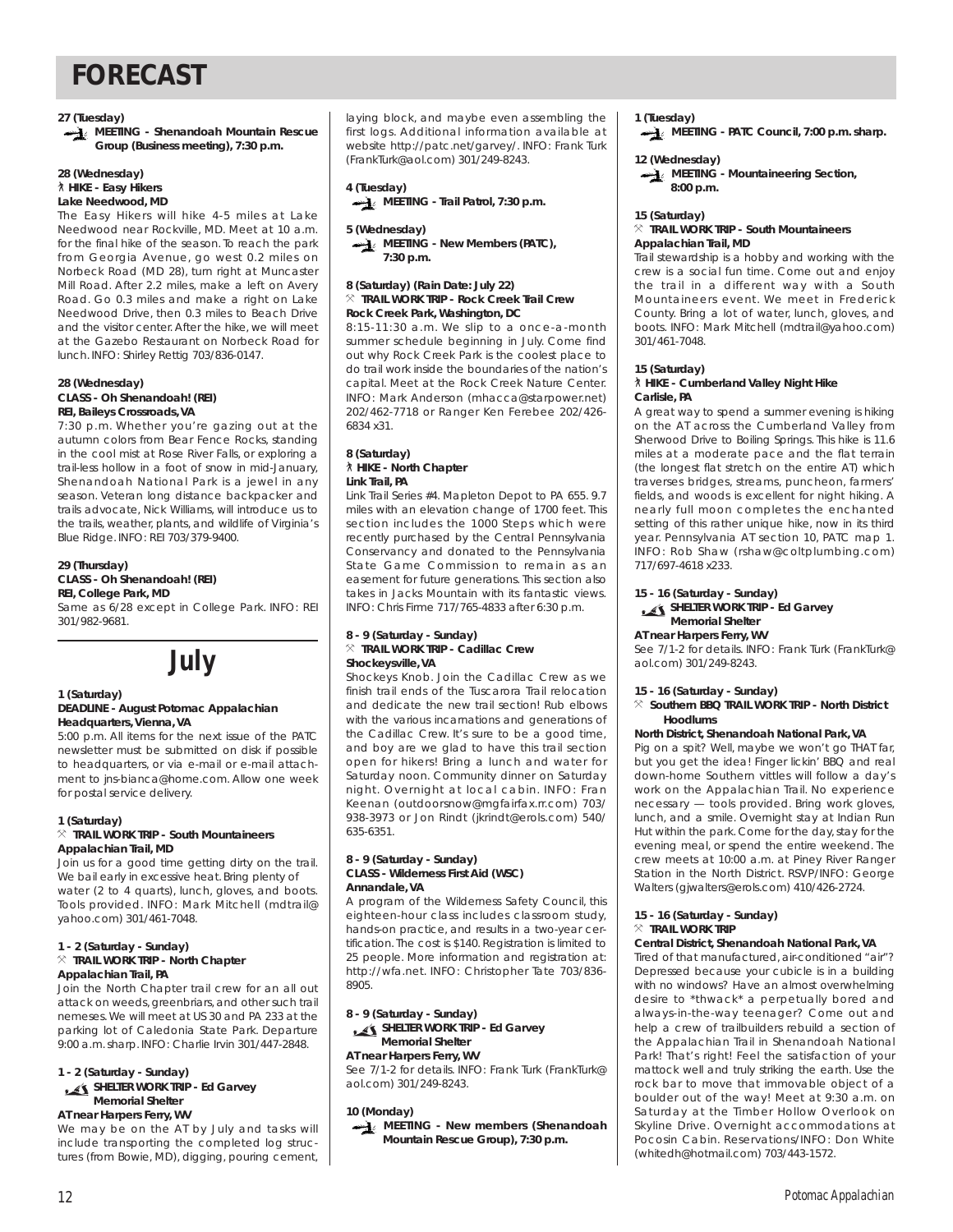**27 (Tuesday)**

**MEETING - Shenandoah Mountain Rescue Group (Business meeting), 7:30 p.m.**

#### **28 (Wednesday)** ` **HIKE - Easy Hikers Lake Needwood, MD**

The Easy Hikers will hike 4-5 miles at Lake Needwood near Rockville, MD. Meet at 10 a.m. for the final hike of the season. To reach the park from Georgia Avenue, go west 0.2 miles on Norbeck Road (MD 28), turn right at Muncaster Mill Road. After 2.2 miles, make a left on Avery Road. Go 0.3 miles and make a right on Lake Needwood Drive, then 0.3 miles to Beach Drive and the visitor center. After the hike, we will meet at the Gazebo Restaurant on Norbeck Road for lunch. INFO: Shirley Rettig 703/836-0147.

#### **28 (Wednesday) CLASS - Oh Shenandoah! (REI) REI, Baileys Crossroads, VA**

7:30 p.m. Whether you're gazing out at the autumn colors from Bear Fence Rocks, standing in the cool mist at Rose River Falls, or exploring a trail-less hollow in a foot of snow in mid-January, Shenandoah National Park is a jewel in any season. Veteran long distance backpacker and trails advocate, Nick Williams, will introduce us to the trails, weather, plants, and wildlife of Virginia's Blue Ridge. INFO: REI 703/379-9400.

#### **29 (Thursday) CLASS - Oh Shenandoah! (REI) REI, College Park, MD**

Same as 6/28 except in College Park. INFO: REI 301/982-9681.



#### **1 (Saturday) DEADLINE - August** *Potomac Appalachian* **Headquarters, Vienna, VA**

5:00 p.m. All items for the next issue of the PATC newsletter must be submitted on disk if possible to headquarters, or via e-mail or e-mail attachment to jns-bianca@home.com. Allow one week for postal service delivery.

### **1 (Saturday)**

#### $\times$  **TRAIL WORK TRIP - South Mountaineers Appalachian Trail, MD**

Join us for a good time getting dirty on the trail. We bail early in excessive heat. Bring plenty of water (2 to 4 quarts), lunch, gloves, and boots. Tools provided. INFO: Mark Mitchell (mdtrail@ yahoo.com) 301/461-7048.

#### **1 - 2 (Saturday - Sunday)** } **TRAIL WORK TRIP - North Chapter Appalachian Trail, PA**

Join the North Chapter trail crew for an all out attack on weeds, greenbriars, and other such trail nemeses.We will meet at US 30 and PA 233 at the parking lot of Caledonia State Park. Departure 9:00 a.m.sharp. INFO: Charlie Irvin 301/447-2848.

### **1 - 2 (Saturday - Sunday)**

#### **SHELTER WORK TRIP - Ed Garvey Memorial Shelter**

**AT near Harpers Ferry, WV**

We may be on the AT by July and tasks will include transporting the completed log structures (from Bowie, MD), digging, pouring cement, laying block, and maybe even assembling the first logs. Additional information available at website http://patc.net/garvey/. INFO: Frank Turk (FrankTurk@aol.com) 301/249-8243.

**4 (Tuesday) MEETING - Trail Patrol, 7:30 p.m.**

### **5 (Wednesday)**

**MEETING - New Members (PATC). 7:30 p.m.**

#### **8 (Saturday) (Rain Date: July 22)** } **TRAIL WORK TRIP - Rock Creek Trail Crew Rock Creek Park, Washington, DC**

8:15-11:30 a.m. We slip to a once-a-month summer schedule beginning in July. Come find out why Rock Creek Park is the coolest place to do trail work inside the boundaries of the nation's capital. Meet at the Rock Creek Nature Center. INFO: Mark Anderson (mhacca@starpower.net) 202/462-7718 or Ranger Ken Ferebee 202/426- 6834 x31.

#### **8 (Saturday)** ` **HIKE - North Chapter Link Trail, PA**

Link Trail Series #4. Mapleton Depot to PA 655. 9.7 miles with an elevation change of 1700 feet. This section includes the 1000 Steps which were recently purchased by the Central Pennsylvania Conservancy and donated to the Pennsylvania State Game Commission to remain as an easement for future generations. This section also takes in Jacks Mountain with its fantastic views. INFO: Chris Firme 717/765-4833 after 6:30 p.m.

#### **8 - 9 (Saturday - Sunday)** } **TRAIL WORK TRIP - Cadillac Crew Shockeysville, VA**

Shockeys Knob. Join the Cadillac Crew as we finish trail ends of the Tuscarora Trail relocation and dedicate the new trail section! Rub elbows with the various incarnations and generations of the Cadillac Crew. It's sure to be a good time, and boy are we glad to have this trail section open for hikers! Bring a lunch and water for Saturday noon. Community dinner on Saturday night. Overnight at local cabin. INFO: Fran Keenan (outdoorsnow@mgfairfax.rr.com) 703/ 938-3973 or Jon Rindt (jkrindt@erols.com) 540/ 635-6351.

#### **8 - 9 (Saturday - Sunday) CLASS - Wilderness First Aid (WSC) Annandale, VA**

A program of the Wilderness Safety Council, this eighteen-hour class includes classroom study, hands-on practice, and results in a two-year certification. The cost is \$140. Registration is limited to 25 people. More information and registration at: http://wfa.net. INFO: Christopher Tate 703/836- 8905.

**8 - 9 (Saturday - Sunday)**

**SHELTER WORK TRIP - Ed Garvey Memorial Shelter**

### **AT near Harpers Ferry, WV**

See 7/1-2 for details. INFO: Frank Turk (FrankTurk@ aol.com) 301/249-8243.

#### **10 (Monday)**

**MEETING - New members (Shenandoah Mountain Rescue Group), 7:30 p.m.**

**1 (Tuesday)**

**MEETING - PATC Council, 7:00 p.m. sharp.**

### **12 (Wednesday)**

**MEETING - Mountaineering Section. 8:00 p.m.**

#### **15 (Saturday)**

#### } **TRAIL WORK TRIP - South Mountaineers Appalachian Trail, MD**

Trail stewardship is a hobby and working with the crew is a social fun time. Come out and enjoy the trail in a different way with a South Mountaineers event. We meet in Frederick County. Bring a lot of water, lunch, gloves, and boots. INFO: Mark Mitchell (mdtrail@yahoo.com) 301/461-7048.

#### **15 (Saturday)**

#### ` **HIKE - Cumberland Valley Night Hike Carlisle, PA**

A great way to spend a summer evening is hiking on the AT across the Cumberland Valley from Sherwood Drive to Boiling Springs. This hike is 11.6 miles at a moderate pace and the flat terrain (the longest flat stretch on the entire AT) which traverses bridges, streams, puncheon, farmers' fields, and woods is excellent for night hiking. A nearly full moon completes the enchanted setting of this rather unique hike, now in its third year. Pennsylvania AT section 10, PATC map 1. INFO: Rob Shaw (rshaw@coltplumbing.com) 717/697-4618 x233.

### **15 - 16 (Saturday - Sunday)**

#### **SHELTER WORK TRIP - Ed Garvey Memorial Shelter**

**AT near Harpers Ferry, WV**

See 7/1-2 for details. INFO: Frank Turk (FrankTurk@ aol.com) 301/249-8243.

#### **15 - 16 (Saturday - Sunday)**

#### } **Southern BBQ TRAIL WORK TRIP - North District Hoodlums**

#### **North District, Shenandoah National Park, VA**

Pig on a spit? Well, maybe we won't go THAT far, but you get the idea! Finger lickin' BBQ and real down-home Southern vittles will follow a day's work on the Appalachian Trail. No experience necessary — tools provided. Bring work gloves, lunch, and a smile. Overnight stay at Indian Run Hut within the park. Come for the day, stay for the evening meal, or spend the entire weekend. The crew meets at 10:00 a.m. at Piney River Ranger Station in the North District. RSVP/INFO: George Walters (gjwalters@erols.com) 410/426-2724.

#### **15 - 16 (Saturday - Sunday)**  $\times$  **TRAIL WORK TRIP**

#### **Central District, Shenandoah National Park, VA**

Tired of that manufactured, air-conditioned "air"? Depressed because your cubicle is in a building with no windows? Have an almost overwhelming desire to \*thwack\* a perpetually bored and always-in-the-way teenager? Come out and help a crew of trailbuilders rebuild a section of the Appalachian Trail in Shenandoah National Park! That's right! Feel the satisfaction of your mattock well and truly striking the earth. Use the rock bar to move that immovable object of a boulder out of the way! Meet at 9:30 a.m. on Saturday at the Timber Hollow Overlook on Skyline Drive. Overnight accommodations at Pocosin Cabin. Reservations/INFO: Don White (whitedh@hotmail.com) 703/443-1572.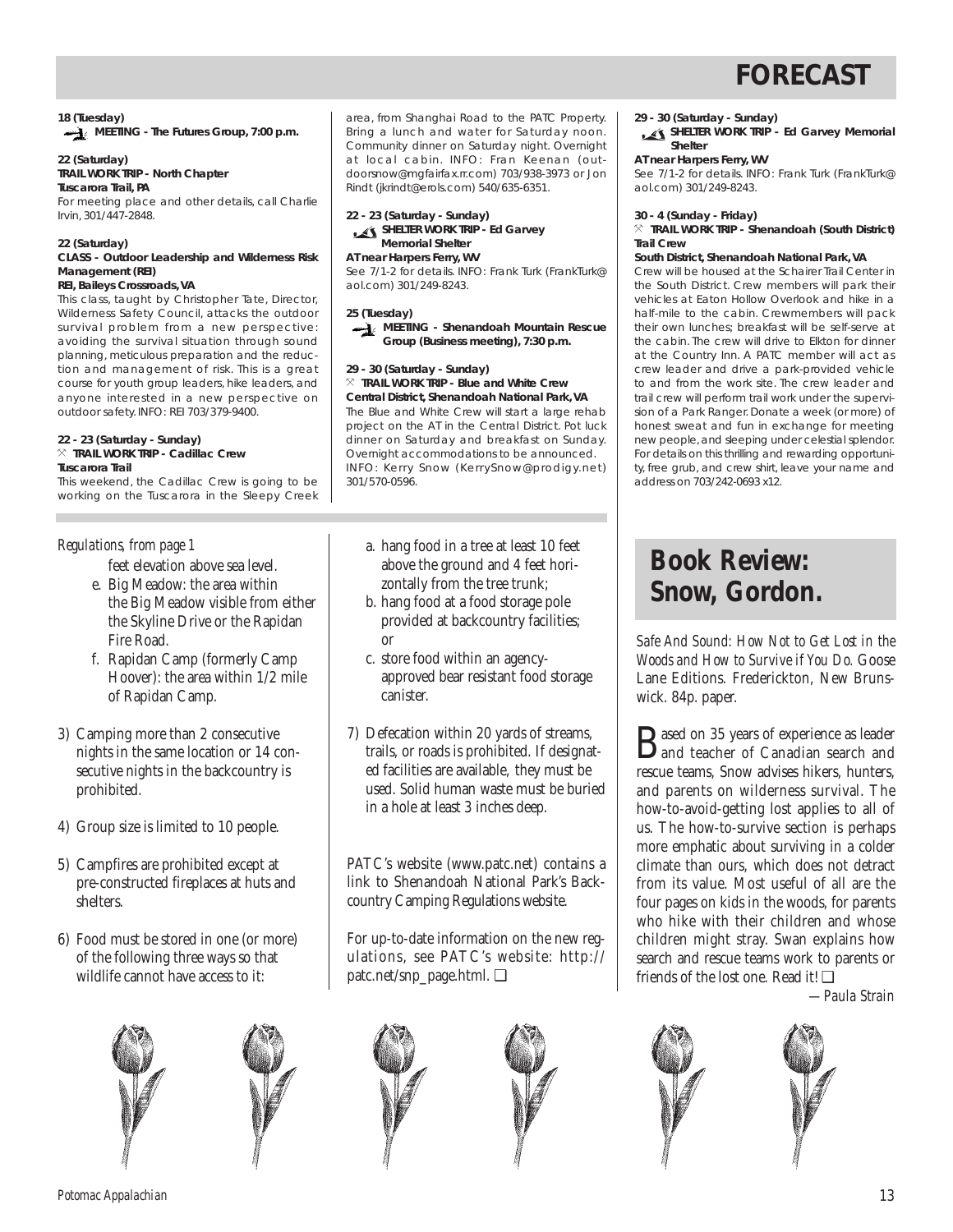### **18 (Tuesday) MEETING - The Futures Group, 7:00 p.m.**

#### **22 (Saturday) TRAIL WORK TRIP - North Chapter**

**Tuscarora Trail, PA** For meeting place and other details, call Charlie Irvin, 301/447-2848.

#### **22 (Saturday)**

#### **CLASS - Outdoor Leadership and Wilderness Risk Management (REI) REI, Baileys Crossroads, VA**

This class, taught by Christopher Tate, Director, Wilderness Safety Council, attacks the outdoor survival problem from a new perspective: avoiding the survival situation through sound planning, meticulous preparation and the reduction and management of risk. This is a great course for youth group leaders, hike leaders, and anyone interested in a new perspective on outdoor safety. INFO: REI 703/379-9400.

#### **22 - 23 (Saturday - Sunday)**  $\times$  **TRAIL WORK TRIP - Cadillac Crew Tuscarora Trail**

This weekend, the Cadillac Crew is going to be

working on the Tuscarora in the Sleepy Creek

feet elevation above sea level.

- e. Big Meadow: the area within the Big Meadow visible from either the Skyline Drive or the Rapidan Fire Road.
- f. Rapidan Camp (formerly Camp Hoover): the area within 1/2 mile of Rapidan Camp.
- 3) Camping more than 2 consecutive nights in the same location or 14 consecutive nights in the backcountry is prohibited.
- 4) Group size is limited to 10 people.
- 5) Campfires are prohibited except at pre-constructed fireplaces at huts and shelters.
- 6) Food must be stored in one (or more) of the following three ways so that wildlife cannot have access to it:





area, from Shanghai Road to the PATC Property. Bring a lunch and water for Saturday noon. Community dinner on Saturday night. Overnight at local cabin. INFO: Fran Keenan (outdoorsnow@mgfairfax.rr.com) 703/938-3973 or Jon Rindt (jkrindt@erols.com) 540/635-6351.

**22 - 23 (Saturday - Sunday) SHELTER WORK TRIP - Ed Garvey Memorial Shelter**

#### **AT near Harpers Ferry, WV**

See 7/1-2 for details. INFO: Frank Turk (FrankTurk@ aol.com) 301/249-8243.

#### **25 (Tuesday)**



#### **29 - 30 (Saturday - Sunday)**

 $\%$  **TRAIL WORK TRIP - Blue and White Crew Central District, Shenandoah National Park, VA** The Blue and White Crew will start a large rehab project on the AT in the Central District. Pot luck dinner on Saturday and breakfast on Sunday. Overnight accommodations to be announced. INFO: Kerry Snow (KerrySnow@prodigy.net) 301/570-0596.

- *Regulations, from page 1* a. hang food in a tree at least 10 feet above the ground and 4 feet horizontally from the tree trunk;
	- b. hang food at a food storage pole provided at backcountry facilities; or
	- c. store food within an agencyapproved bear resistant food storage canister.
	- 7) Defecation within 20 yards of streams, trails, or roads is prohibited. If designated facilities are available, they must be used. Solid human waste must be buried in a hole at least 3 inches deep.

PATC's website (www.patc.net) contains a link to Shenandoah National Park's Backcountry Camping Regulations website.

For up-to-date information on the new regulations, see PATC's website: http:// patc.net/snp\_page.html. ❑



**29 - 30 (Saturday - Sunday)**

**SHELTER WORK TRIP - Ed Garvey Memorial Shelter**

#### **AT near Harpers Ferry, WV**

See 7/1-2 for details. INFO: Frank Turk (FrankTurk@ aol.com) 301/249-8243.

#### **30 - 4 (Sunday - Friday)**

} **TRAIL WORK TRIP - Shenandoah (South District) Trail Crew**

#### **South District, Shenandoah National Park, VA**

Crew will be housed at the Schairer Trail Center in the South District. Crew members will park their vehicles at Eaton Hollow Overlook and hike in a half-mile to the cabin. Crewmembers will pack their own lunches; breakfast will be self-serve at the cabin. The crew will drive to Elkton for dinner at the Country Inn. A PATC member will act as crew leader and drive a park-provided vehicle to and from the work site. The crew leader and trail crew will perform trail work under the supervision of a Park Ranger. Donate a week (or more) of honest sweat and fun in exchange for meeting new people,and sleeping under celestial splendor. For details on this thrilling and rewarding opportunity, free grub, and crew shirt, leave your name and address on 703/242-0693 x12.

## **Book Review: Snow, Gordon.**

*Safe And Sound: How Not to Get Lost in the Woods and How to Survive if You Do.* Goose Lane Editions. Frederickton, New Brunswick. 84p. paper.

Based on 35 years of experience as leader and teacher of Canadian search and rescue teams, Snow advises hikers, hunters, and parents on wilderness survival. The how-to-avoid-getting lost applies to all of us. The how-to-survive section is perhaps more emphatic about surviving in a colder climate than ours, which does not detract from its value. Most useful of all are the four pages on kids in the woods, for parents who hike with their children and whose children might stray. Swan explains how search and rescue teams work to parents or friends of the lost one. Read it! ❑

*—Paula Strain*

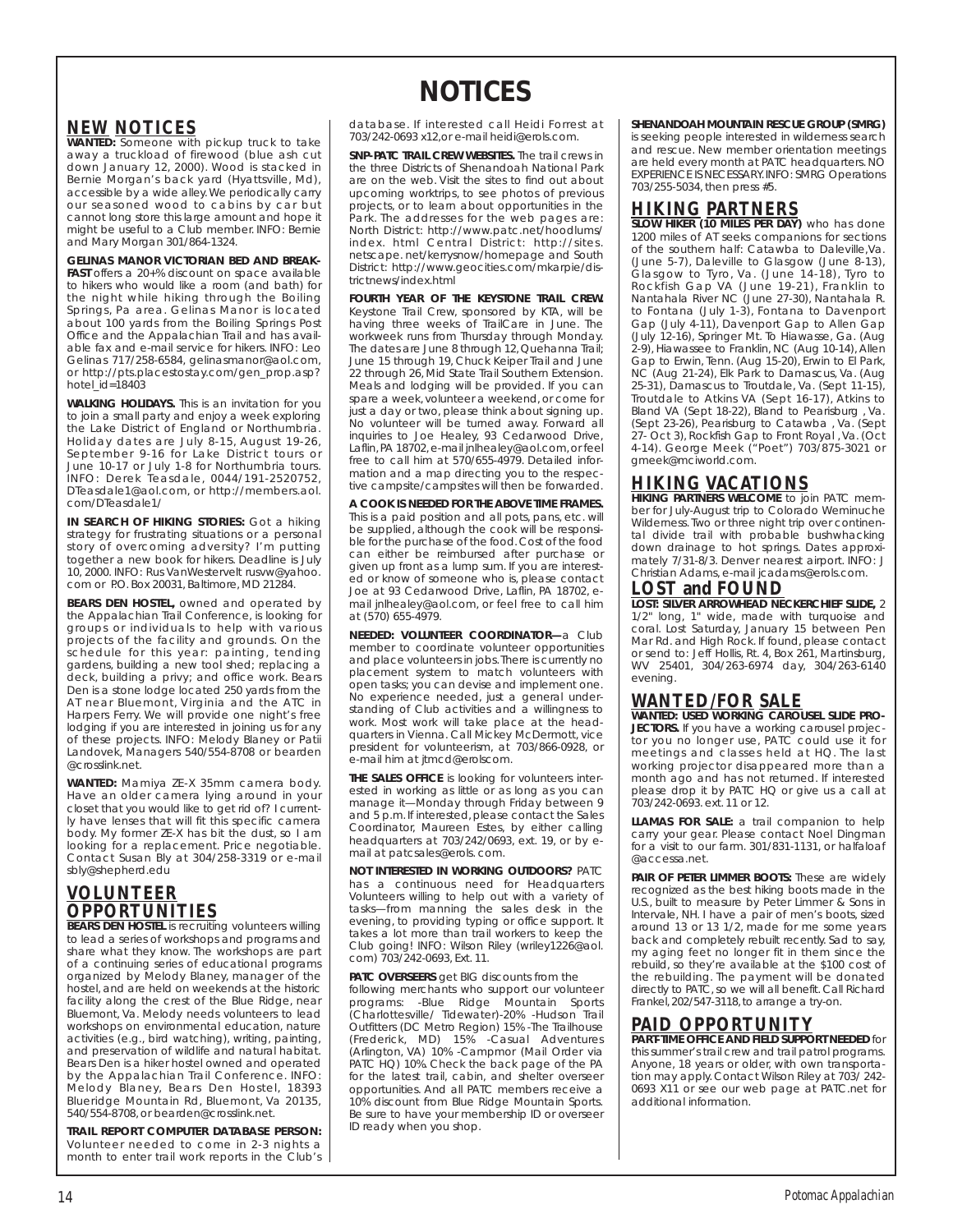## **NOTICES**

## **NEW NOTICES**

**WANTED:** Someone with pickup truck to take away a truckload of firewood (blue ash cut down January 12, 2000). Wood is stacked in Bernie Morgan's back yard (Hyattsville, Md), accessible by a wide alley.We periodically carry our seasoned wood to cabins by car but cannot long store this large amount and hope it might be useful to a Club member. INFO: Bernie and Mary Morgan 301/864-1324.

**GELINAS MANOR VICTORIAN BED AND BREAK-FAST** offers a 20+% discount on space available to hikers who would like a room (and bath) for the night while hiking through the Boiling Springs, Pa area. Gelinas Manor is located about 100 yards from the Boiling Springs Post Office and the Appalachian Trail and has available fax and e-mail service for hikers. INFO: Leo Gelinas 717/258-6584, gelinasmanor@aol.com, or http://pts.placestostay.com/gen\_prop.asp? hotel\_id=18403

**WALKING HOLIDAYS.** This is an invitation for you to join a small party and enjoy a week exploring the Lake District of England or Northumbria. Holiday dates are July 8-15, August 19-26, September 9-16 for Lake District tours or June 10-17 or July 1-8 for Northumbria tours. INFO: Derek Teasdale, 0044/191-2520752, DTeasdale1@aol.com, or http://members.aol. com/DTeasdale1/

**IN SEARCH OF HIKING STORIES:** Got a hiking strategy for frustrating situations or a personal story of overcoming adversity? I'm putting together a new book for hikers. Deadline is July 10, 2000. INFO: Rus VanWestervelt rusvw@yahoo. com or P.O. Box 20031, Baltimore, MD 21284.

**BEARS DEN HOSTEL,** owned and operated by the Appalachian Trail Conference, is looking for groups or individuals to help with various projects of the facility and grounds. On the schedule for this year: painting, tending gardens, building a new tool shed; replacing a deck, building a privy; and office work. Bears Den is a stone lodge located 250 yards from the AT near Bluemont, Virginia and the ATC in Harpers Ferry. We will provide one night's free lodging if you are interested in joining us for any of these projects. INFO: Melody Blaney or Patii Landovek, Managers 540/554-8708 or bearden @crosslink.net.

**WANTED:** Mamiya ZE-X 35mm camera body. Have an older camera lying around in your closet that you would like to get rid of? I currently have lenses that will fit this specific camera body. My former ZE-X has bit the dust, so I am looking for a replacement. Price negotiable. Contact Susan Bly at 304/258-3319 or e-mail sbly@shepherd.edu

## **VOLUNTEER OPPORTUNITIES**

**BEARS DEN HOSTEL** is recruiting volunteers willing to lead a series of workshops and programs and share what they know. The workshops are part of a continuing series of educational programs organized by Melody Blaney, manager of the hostel, and are held on weekends at the historic facility along the crest of the Blue Ridge, near Bluemont, Va. Melody needs volunteers to lead workshops on environmental education, nature activities (e.g., bird watching), writing, painting, and preservation of wildlife and natural habitat. Bears Den is a hiker hostel owned and operated by the Appalachian Trail Conference. INFO: Melody Blaney, Bears Den Hostel, 18393 Blueridge Mountain Rd, Bluemont, Va 20135, 540/554-8708, or bearden@crosslink.net.

**TRAIL REPORT COMPUTER DATABASE PERSON:** Volunteer needed to come in 2-3 nights a month to enter trail work reports in the Club's database. If interested call Heidi Forrest at 703/242-0693 x12,or e-mail heidi@erols.com.

**SNP-PATC TRAIL CREW WEBSITES.** The trail crews in the three Districts of Shenandoah National Park are on the web. Visit the sites to find out about upcoming worktrips, to see photos of previous projects, or to learn about opportunities in the Park. The addresses for the web pages are: North District: http://www.patc.net/hoodlums/ index. html Central District: http://sites. netscape. net/kerrysnow/homepage and South District: http://www.geocities.com/mkarpie/districtnews/index.html

**FOURTH YEAR OF THE KEYSTONE TRAIL CREW.** Keystone Trail Crew, sponsored by KTA, will be having three weeks of TrailCare in June. The workweek runs from Thursday through Monday. The dates are June 8 through 12, Quehanna Trail; June 15 through 19, Chuck Keiper Trail and June 22 through 26, Mid State Trail Southern Extension. Meals and lodging will be provided. If you can spare a week, volunteer a weekend, or come for just a day or two, please think about signing up. No volunteer will be turned away. Forward all inquiries to Joe Healey, 93 Cedarwood Drive, Laflin, PA 18702, e-mail jnlhealey@aol.com, or feel free to call him at 570/655-4979. Detailed information and a map directing you to the respective campsite/campsites will then be forwarded.

**A COOK IS NEEDED FOR THE ABOVE TIME FRAMES.** This is a paid position and all pots, pans, etc. will be supplied, although the cook will be responsible for the purchase of the food.Cost of the food can either be reimbursed after purchase or given up front as a lump sum. If you are interested or know of someone who is, please contact Joe at 93 Cedarwood Drive, Laflin, PA 18702, email jnlhealey@aol.com, or feel free to call him at (570) 655-4979.

**NEEDED: VOLUNTEER COORDINATOR—**a Club member to coordinate volunteer opportunities and place volunteers in jobs. There is currently no placement system to match volunteers with open tasks; you can devise and implement one. No experience needed, just a general understanding of Club activities and a willingness to work. Most work will take place at the headquarters in Vienna. Call Mickey McDermott, vice president for volunteerism, at 703/866-0928, or .<br>e-mail him at jtmcd@erolscom.

**THE SALES OFFICE** is looking for volunteers interested in working as little or as long as you can manage it—Monday through Friday between 9 and 5 p.m. If interested, please contact the Sales Coordinator, Maureen Estes, by either calling headquarters at 703/242/0693, ext. 19, or by email at patcsales@erols. com.

**NOT INTERESTED IN WORKING OUTDOORS?** PATC has a continuous need for Headquarters Volunteers willing to help out with a variety of tasks—from manning the sales desk in the evening, to providing typing or office support. It takes a lot more than trail workers to keep the Club going! INFO: Wilson Riley (wriley1226@aol. com) 703/242-0693, Ext. 11.

**PATC OVERSEERS** get BIG discounts from the

following merchants who support our volunteer<br>programs: -Blue Ridge Mountain Sports Mountain Sports (Charlottesville/ Tidewater)-20% -Hudson Trail Outfitters (DC Metro Region) 15% -The Trailhouse (Frederick, MD) 15% -Casual Adventures (Arlington, VA) 10% -Campmor (Mail Order via PATC HQ) 10%. Check the back page of the PA for the latest trail, cabin, and shelter overseer opportunities. And all PATC members receive a 10% discount from Blue Ridge Mountain Sports. Be sure to have your membership ID or overseer ID ready when you shop.

**SHENANDOAH MOUNTAIN RESCUE GROUP (SMRG)**

is seeking people interested in wilderness search and rescue. New member orientation meetings are held every month at PATC headquarters. NO EXPERIENCE IS NECESSARY.INFO: SMRG Operations 703/255-5034, then press #5.

## **HIKING PARTNERS**

**SLOW HIKER (10 MILES PER DAY)** who has done 1200 miles of AT seeks companions for sections of the southern half: Catawba to Daleville,Va. (June 5-7), Daleville to Glasgow (June 8-13), Glasgow to Tyro, Va. (June 14-18), Tyro to Rockfish Gap VA (June 19-21), Franklin to Nantahala River NC (June 27-30), Nantahala R. to Fontana (July 1-3), Fontana to Davenport Gap (July 4-11), Davenport Gap to Allen Gap (July 12-16), Springer Mt. To Hiawasse, Ga. (Aug 2-9), Hiawassee to Franklin, NC (Aug 10-14), Allen Gap to Erwin, Tenn. (Aug 15-20), Erwin to El Park, NC (Aug 21-24), Elk Park to Damascus, Va. (Aug 25-31), Damascus to Troutdale, Va. (Sept 11-15), Troutdale to Atkins VA (Sept 16-17), Atkins to Bland VA (Sept 18-22), Bland to Pearisburg , Va. (Sept 23-26), Pearisburg to Catawba , Va. (Sept 27- Oct 3), Rockfish Gap to Front Royal , Va. (Oct 4-14). George Meek ("Poet") 703/875-3021 or gmeek@mciworld.com.

**HIKING VACATIONS HIKING PARTNERS WELCOME** to join PATC member for July-August trip to Colorado Weminuche Wilderness. Two or three night trip over continental divide trail with probable bushwhacking down drainage to hot springs. Dates approximately 7/31-8/3. Denver nearest airport. INFO: J Christian Adams, e-mail jcadams@erols.com.

### **LOST and FOUND**

**LOST: SILVER ARROWHEAD NECKERCHIEF SLIDE,** 2 1/2" long, 1" wide, made with turquoise and coral. Lost Saturday, January 15 between Pen Mar Rd. and High Rock. If found, please contact or send to: Jeff Hollis, Rt. 4, Box 261, Martinsburg, WV 25401, 304/263-6974 day, 304/263-6140 evening.

### **WANTED/FOR SALE**

**WANTED: USED WORKING CAROUSEL SLIDE PRO-JECTORS.** If you have a working carousel projector you no longer use, PATC could use it for meetings and classes held at HQ. The last working projector disappeared more than a month ago and has not returned. If interested please drop it by PATC HQ or give us a call at 703/242-0693. ext. 11 or 12.

**LLAMAS FOR SALE:** a trail companion to help carry your gear. Please contact Noel Dingman for a visit to our farm. 301/831-1131, or halfaloaf @accessa.net.

**PAIR OF PETER LIMMER BOOTS:** These are widely recognized as the best hiking boots made in the U.S., built to measure by Peter Limmer & Sons in Intervale, NH. I have a pair of men's boots, sized around 13 or 13 1/2, made for me some years back and completely rebuilt recently. Sad to say, my aging feet no longer fit in them since the rebuild, so they're available at the \$100 cost of the rebuilding. The payment will be donated directly to PATC, so we will all benefit. Call Richard Frankel,202/547-3118,to arrange a try-on.

### **PAID OPPORTUNITY**

**PART-TIME OFFICE AND FIELD SUPPORT NEEDED** for this summer's trail crew and trail patrol programs. Anyone, 18 years or older, with own transportation may apply. Contact Wilson Riley at 703/ 242- 0693 X11 or see our web page at PATC.net for additional information.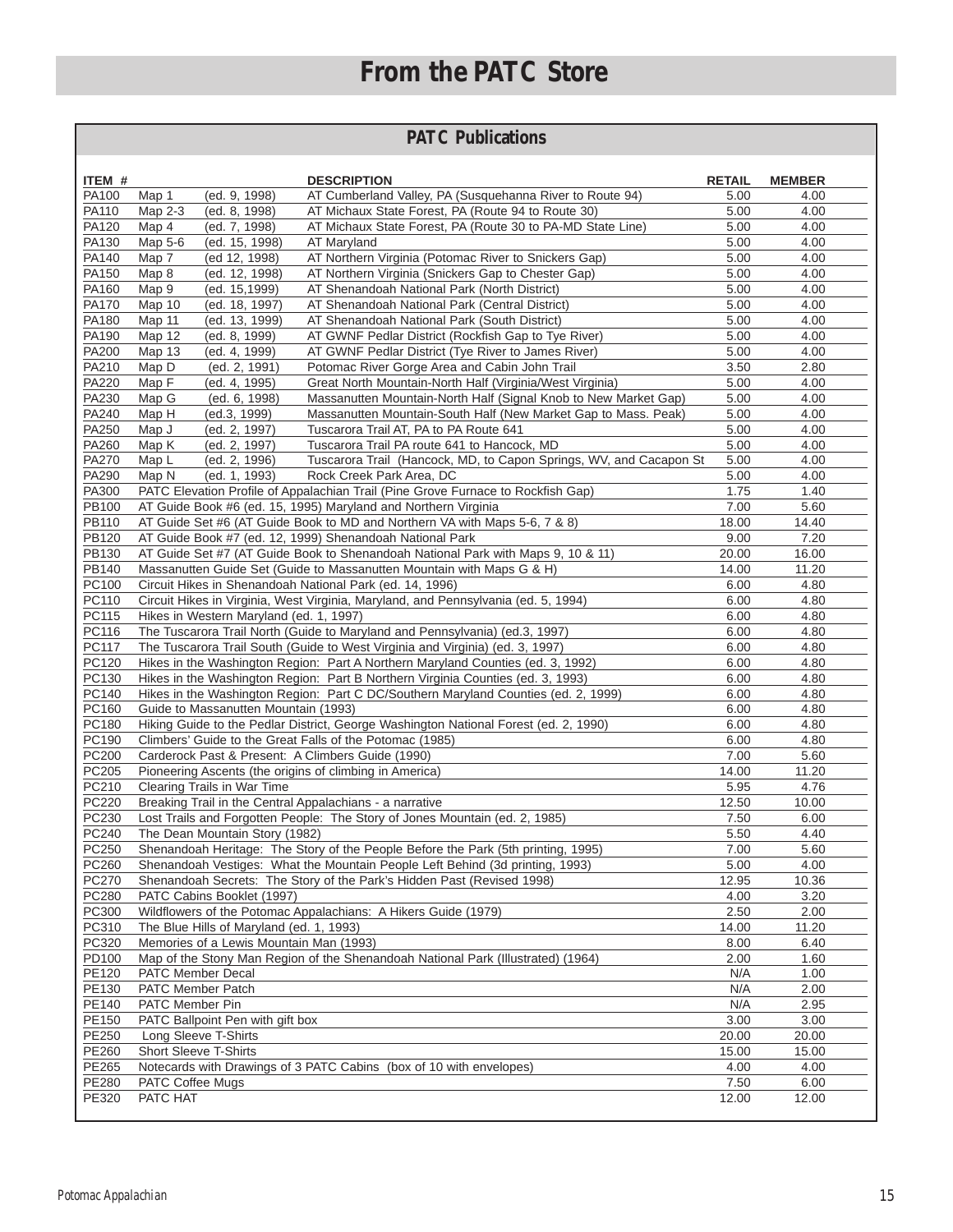# **From the PATC Store**

## **PATC Publications**

| ITEM #         | <b>DESCRIPTION</b>                                                                                                       | <b>RETAIL</b> | <b>MEMBER</b> |  |  |  |  |
|----------------|--------------------------------------------------------------------------------------------------------------------------|---------------|---------------|--|--|--|--|
| PA100          | (ed. 9, 1998)<br>AT Cumberland Valley, PA (Susquehanna River to Route 94)<br>Map 1                                       | 5.00          | 4.00          |  |  |  |  |
| PA110          | AT Michaux State Forest, PA (Route 94 to Route 30)<br>Map 2-3<br>(ed. 8, 1998)                                           | 5.00          | 4.00          |  |  |  |  |
| PA120          | Map 4<br>AT Michaux State Forest, PA (Route 30 to PA-MD State Line)<br>(ed. 7, 1998)                                     | 5.00          | 4.00          |  |  |  |  |
| PA130          | Map 5-6<br>(ed. 15, 1998)<br>AT Maryland                                                                                 | 5.00          | 4.00          |  |  |  |  |
| PA140          | Map 7<br>(ed 12, 1998)<br>AT Northern Virginia (Potomac River to Snickers Gap)                                           | 5.00          | 4.00          |  |  |  |  |
| PA150          | Map 8<br>(ed. 12, 1998)<br>AT Northern Virginia (Snickers Gap to Chester Gap)                                            | 5.00          | 4.00          |  |  |  |  |
| PA160          | Map 9<br>AT Shenandoah National Park (North District)<br>(ed. 15,1999)                                                   | 5.00          | 4.00          |  |  |  |  |
| PA170          | Map 10<br>AT Shenandoah National Park (Central District)<br>(ed. 18, 1997)                                               | 5.00          | 4.00          |  |  |  |  |
| PA180          | Map 11<br>(ed. 13, 1999)<br>AT Shenandoah National Park (South District)                                                 | 5.00          | 4.00          |  |  |  |  |
| PA190          | Map 12<br>(ed. 8, 1999)<br>AT GWNF Pedlar District (Rockfish Gap to Tye River)                                           | 5.00          | 4.00          |  |  |  |  |
| <b>PA200</b>   | <b>Map 13</b><br>AT GWNF Pedlar District (Tye River to James River)<br>(ed. 4, 1999)                                     | 5.00          | 4.00          |  |  |  |  |
| PA210          | Map D<br>(ed. 2, 1991)<br>Potomac River Gorge Area and Cabin John Trail                                                  | 3.50          | 2.80          |  |  |  |  |
| PA220          | Map F<br>(ed. 4, 1995)<br>Great North Mountain-North Half (Virginia/West Virginia)                                       | 5.00          | 4.00          |  |  |  |  |
| PA230          | Map G<br>Massanutten Mountain-North Half (Signal Knob to New Market Gap)<br>(ed. 6, 1998)                                | 5.00          | 4.00          |  |  |  |  |
| PA240          | Map H<br>(ed.3, 1999)<br>Massanutten Mountain-South Half (New Market Gap to Mass. Peak)                                  | 5.00          | 4.00          |  |  |  |  |
| PA250          | Map J<br>(ed. 2, 1997)<br>Tuscarora Trail AT, PA to PA Route 641                                                         | 5.00          | 4.00          |  |  |  |  |
| PA260          | Tuscarora Trail PA route 641 to Hancock, MD<br>Map K<br>(ed. 2, 1997)                                                    | 5.00          | 4.00          |  |  |  |  |
| PA270          | Map L<br>(ed. 2, 1996)<br>Tuscarora Trail (Hancock, MD, to Capon Springs, WV, and Cacapon St                             | 5.00          | 4.00          |  |  |  |  |
| PA290          | (ed. 1, 1993)<br>Rock Creek Park Area, DC<br>Map N                                                                       | 5.00          | 4.00          |  |  |  |  |
| PA300          | PATC Elevation Profile of Appalachian Trail (Pine Grove Furnace to Rockfish Gap)                                         | 1.75          | 1.40          |  |  |  |  |
| PB100          | AT Guide Book #6 (ed. 15, 1995) Maryland and Northern Virginia                                                           | 7.00          | 5.60          |  |  |  |  |
| PB110          | AT Guide Set #6 (AT Guide Book to MD and Northern VA with Maps 5-6, 7 & 8)                                               | 18.00         | 14.40         |  |  |  |  |
| PB120          | AT Guide Book #7 (ed. 12, 1999) Shenandoah National Park                                                                 | 9.00          | 7.20          |  |  |  |  |
| PB130          | AT Guide Set #7 (AT Guide Book to Shenandoah National Park with Maps 9, 10 & 11)                                         | 20.00         | 16.00         |  |  |  |  |
| PB140          | Massanutten Guide Set (Guide to Massanutten Mountain with Maps G & H)                                                    | 14.00         | 11.20         |  |  |  |  |
| PC100          | Circuit Hikes in Shenandoah National Park (ed. 14, 1996)                                                                 | 6.00          | 4.80          |  |  |  |  |
| PC110          | Circuit Hikes in Virginia, West Virginia, Maryland, and Pennsylvania (ed. 5, 1994)                                       | 6.00          | 4.80          |  |  |  |  |
| PC115          | Hikes in Western Maryland (ed. 1, 1997)                                                                                  | 6.00          | 4.80          |  |  |  |  |
| PC116          | The Tuscarora Trail North (Guide to Maryland and Pennsylvania) (ed.3, 1997)                                              | 6.00          | 4.80          |  |  |  |  |
| PC117          | The Tuscarora Trail South (Guide to West Virginia and Virginia) (ed. 3, 1997)                                            | 6.00          | 4.80          |  |  |  |  |
| PC120          | Hikes in the Washington Region: Part A Northern Maryland Counties (ed. 3, 1992)                                          | 6.00          | 4.80          |  |  |  |  |
| PC130          | Hikes in the Washington Region: Part B Northern Virginia Counties (ed. 3, 1993)                                          | 6.00          | 4.80          |  |  |  |  |
| PC140          | Hikes in the Washington Region: Part C DC/Southern Maryland Counties (ed. 2, 1999)                                       | 6.00          | 4.80          |  |  |  |  |
| PC160          | Guide to Massanutten Mountain (1993)<br>6.00<br>4.80                                                                     |               |               |  |  |  |  |
| PC180<br>PC190 | Hiking Guide to the Pedlar District, George Washington National Forest (ed. 2, 1990)<br>6.00<br>4.80                     |               |               |  |  |  |  |
| PC200          | Climbers' Guide to the Great Falls of the Potomac (1985)<br>6.00<br>4.80                                                 |               |               |  |  |  |  |
| PC205          | Carderock Past & Present: A Climbers Guide (1990)<br>7.00<br>5.60                                                        |               |               |  |  |  |  |
| PC210          | 11.20<br>Pioneering Ascents (the origins of climbing in America)<br>14.00<br>Clearing Trails in War Time<br>5.95<br>4.76 |               |               |  |  |  |  |
| PC220          | Breaking Trail in the Central Appalachians - a narrative                                                                 | 12.50         | 10.00         |  |  |  |  |
| PC230          | Lost Trails and Forgotten People: The Story of Jones Mountain (ed. 2, 1985)                                              | 7.50          | 6.00          |  |  |  |  |
| PC240          | The Dean Mountain Story (1982)                                                                                           | 5.50          | 4.40          |  |  |  |  |
| PC250          | Shenandoah Heritage: The Story of the People Before the Park (5th printing, 1995)                                        | 7.00          | 5.60          |  |  |  |  |
| PC260          | Shenandoah Vestiges: What the Mountain People Left Behind (3d printing, 1993)                                            | 5.00          | 4.00          |  |  |  |  |
| PC270          | Shenandoah Secrets: The Story of the Park's Hidden Past (Revised 1998)                                                   | 12.95         | 10.36         |  |  |  |  |
| PC280          | PATC Cabins Booklet (1997)                                                                                               | 4.00          | 3.20          |  |  |  |  |
| PC300          | Wildflowers of the Potomac Appalachians: A Hikers Guide (1979)                                                           | 2.50          | 2.00          |  |  |  |  |
| PC310          | The Blue Hills of Maryland (ed. 1, 1993)                                                                                 | 14.00         | 11.20         |  |  |  |  |
| PC320          | Memories of a Lewis Mountain Man (1993)                                                                                  | 8.00          | 6.40          |  |  |  |  |
| PD100          | Map of the Stony Man Region of the Shenandoah National Park (Illustrated) (1964)                                         | 2.00          | 1.60          |  |  |  |  |
| PE120          | PATC Member Decal                                                                                                        | N/A           | 1.00          |  |  |  |  |
| PE130          | PATC Member Patch                                                                                                        | N/A           | 2.00          |  |  |  |  |
| PE140          | PATC Member Pin                                                                                                          | N/A           | 2.95          |  |  |  |  |
| PE150          | PATC Ballpoint Pen with gift box                                                                                         | 3.00          | 3.00          |  |  |  |  |
| PE250          | Long Sleeve T-Shirts                                                                                                     | 20.00         | 20.00         |  |  |  |  |
| PE260          | <b>Short Sleeve T-Shirts</b>                                                                                             | 15.00         | 15.00         |  |  |  |  |
| PE265          | Notecards with Drawings of 3 PATC Cabins (box of 10 with envelopes)                                                      | 4.00          | 4.00          |  |  |  |  |
| PE280          | PATC Coffee Mugs                                                                                                         | 7.50          | 6.00          |  |  |  |  |
| PE320          | PATC HAT                                                                                                                 | 12.00         | 12.00         |  |  |  |  |
|                |                                                                                                                          |               |               |  |  |  |  |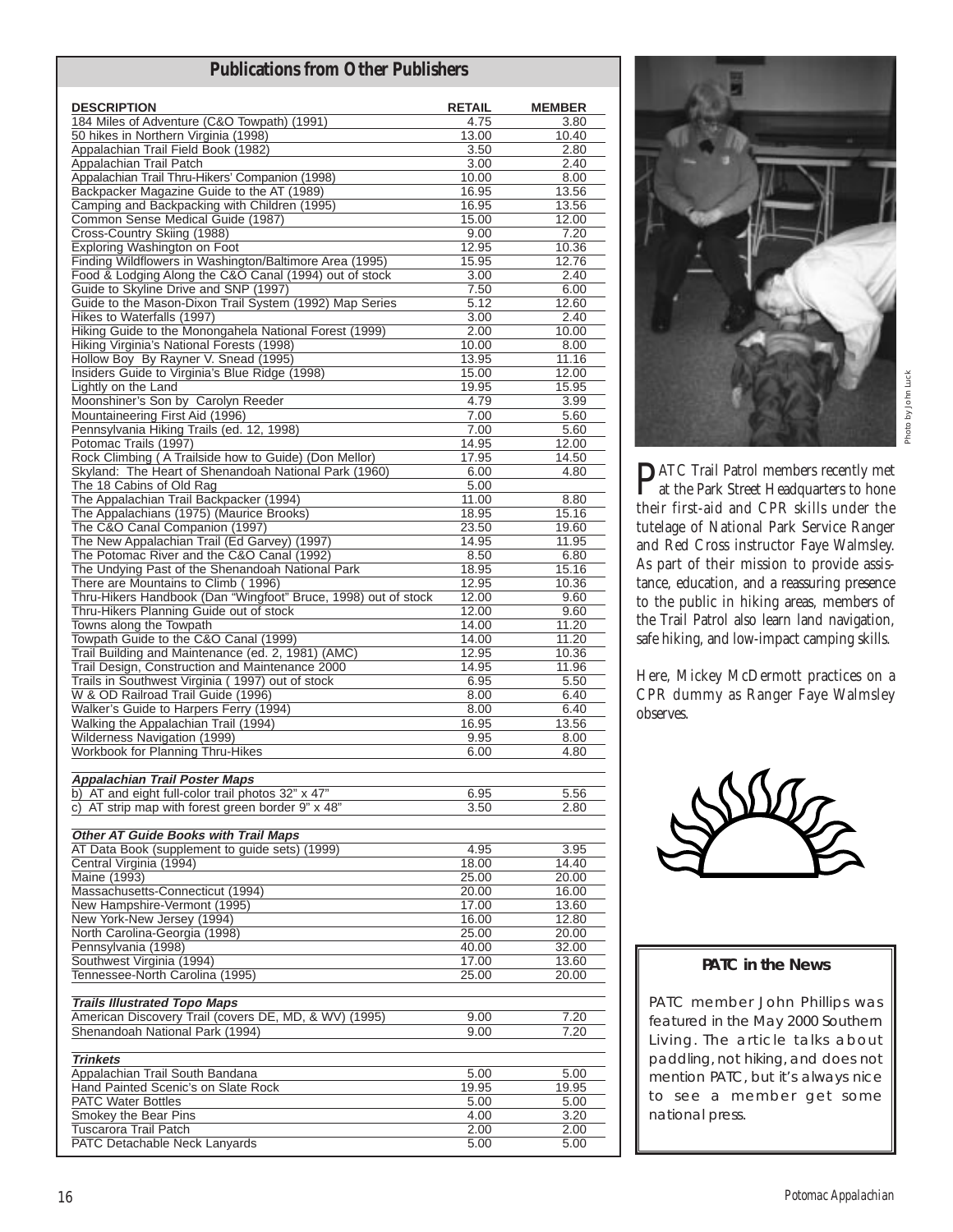## **Publications from Other Publishers**

| <b>DESCRIPTION</b>                                                                                                | <b>RETAIL</b>  | <b>MEMBER</b>  |
|-------------------------------------------------------------------------------------------------------------------|----------------|----------------|
| 184 Miles of Adventure (C&O Towpath) (1991)                                                                       | 4.75           | 3.80           |
| 50 hikes in Northern Virginia (1998)                                                                              | 13.00          | 10.40          |
| Appalachian Trail Field Book (1982)                                                                               | 3.50           | 2.80           |
| Appalachian Trail Patch                                                                                           | 3.00           | 2.40           |
| Appalachian Trail Thru-Hikers' Companion (1998)                                                                   | 10.00          | 8.00           |
| Backpacker Magazine Guide to the AT (1989)                                                                        | 16.95          | 13.56          |
| Camping and Backpacking with Children (1995)                                                                      | 16.95          | 13.56          |
| Common Sense Medical Guide (1987)                                                                                 | 15.00          | 12.00          |
| Cross-Country Skiing (1988)                                                                                       | 9.00           | 7.20           |
| Exploring Washington on Foot                                                                                      | 12.95          | 10.36          |
| Finding Wildflowers in Washington/Baltimore Area (1995)<br>Food & Lodging Along the C&O Canal (1994) out of stock | 15.95<br>3.00  | 12.76<br>2.40  |
| Guide to Skyline Drive and SNP (1997)                                                                             | 7.50           | 6.00           |
| Guide to the Mason-Dixon Trail System (1992) Map Series                                                           | 5.12           | 12.60          |
| Hikes to Waterfalls (1997)                                                                                        | 3.00           | 2.40           |
| Hiking Guide to the Monongahela National Forest (1999)                                                            | 2.00           | 10.00          |
| Hiking Virginia's National Forests (1998)                                                                         | 10.00          | 8.00           |
| Hollow Boy By Rayner V. Snead (1995)                                                                              | 13.95          | 11.16          |
| Insiders Guide to Virginia's Blue Ridge (1998)                                                                    | 15.00          | 12.00          |
| Lightly on the Land                                                                                               | 19.95          | 15.95          |
| Moonshiner's Son by Carolyn Reeder                                                                                | 4.79           | 3.99           |
| Mountaineering First Aid (1996)                                                                                   | 7.00           | 5.60           |
| Pennsylvania Hiking Trails (ed. 12, 1998)<br>Potomac Trails (1997)                                                | 7.00           | 5.60           |
| Rock Climbing (A Trailside how to Guide) (Don Mellor)                                                             | 14.95<br>17.95 | 12.00<br>14.50 |
| Skyland: The Heart of Shenandoah National Park (1960)                                                             | 6.00           | 4.80           |
| The 18 Cabins of Old Rag                                                                                          | 5.00           |                |
| The Appalachian Trail Backpacker (1994)                                                                           | 11.00          | 8.80           |
| The Appalachians (1975) (Maurice Brooks)                                                                          | 18.95          | 15.16          |
| The C&O Canal Companion (1997)                                                                                    | 23.50          | 19.60          |
| The New Appalachian Trail (Ed Garvey) (1997)                                                                      | 14.95          | 11.95          |
| The Potomac River and the C&O Canal (1992)                                                                        | 8.50           | 6.80           |
| The Undying Past of the Shenandoah National Park                                                                  | 18.95          | 15.16          |
| There are Mountains to Climb (1996)                                                                               | 12.95          | 10.36          |
| Thru-Hikers Handbook (Dan "Wingfoot" Bruce, 1998) out of stock                                                    | 12.00          | 9.60           |
| Thru-Hikers Planning Guide out of stock<br>Towns along the Towpath                                                | 12.00<br>14.00 | 9.60<br>11.20  |
| Towpath Guide to the C&O Canal (1999)                                                                             | 14.00          | 11.20          |
| Trail Building and Maintenance (ed. 2, 1981) (AMC)                                                                | 12.95          | 10.36          |
| Trail Design, Construction and Maintenance 2000                                                                   | 14.95          | 11.96          |
| Trails in Southwest Virginia (1997) out of stock                                                                  | 6.95           | 5.50           |
| W & OD Railroad Trail Guide (1996)                                                                                | 8.00           | 6.40           |
| Walker's Guide to Harpers Ferry (1994)                                                                            | 8.00           | 6.40           |
| Walking the Appalachian Trail (1994)                                                                              | 16.95          | 13.56          |
| Wilderness Navigation (1999)                                                                                      | 9.95           | 8.00           |
| Workbook for Planning Thru-Hikes                                                                                  | 6.00           | 4.80           |
| <b>Appalachian Trail Poster Maps</b>                                                                              |                |                |
| b) AT and eight full-color trail photos 32" x 47"                                                                 | 6.95           | 5.56           |
| AT strip map with forest green border 9" x 48"<br>C)                                                              | 3.50           | 2.80           |
|                                                                                                                   |                |                |
| <b>Other AT Guide Books with Trail Maps</b>                                                                       |                |                |
| AT Data Book (supplement to guide sets) (1999)                                                                    | 4.95           | 3.95           |
| Central Virginia (1994)                                                                                           | 18.00          | 14.40          |
| Maine (1993)                                                                                                      | 25.00          | 20.00          |
| Massachusetts-Connecticut (1994)                                                                                  | 20.00          | 16.00          |
| New Hampshire-Vermont (1995)<br>New York-New Jersey (1994)                                                        | 17.00          | 13.60          |
| North Carolina-Georgia (1998)                                                                                     | 16.00<br>25.00 | 12.80<br>20.00 |
| Pennsylvania (1998)                                                                                               | 40.00          | 32.00          |
| Southwest Virginia (1994)                                                                                         | 17.00          | 13.60          |
| Tennessee-North Carolina (1995)                                                                                   | 25.00          | 20.00          |
|                                                                                                                   |                |                |
| <b>Trails Illustrated Topo Maps</b>                                                                               |                |                |
| American Discovery Trail (covers DE, MD, & WV) (1995)                                                             | 9.00           | 7.20           |
| Shenandoah National Park (1994)                                                                                   | 9.00           | 7.20           |
|                                                                                                                   |                |                |
| <b>Trinkets</b>                                                                                                   |                |                |
| Appalachian Trail South Bandana<br>Hand Painted Scenic's on Slate Rock                                            | 5.00<br>19.95  | 5.00<br>19.95  |
| <b>PATC Water Bottles</b>                                                                                         | 5.00           | 5.00           |
| Smokey the Bear Pins                                                                                              | 4.00           | 3.20           |
| Tuscarora Trail Patch                                                                                             | 2.00           | 2.00           |
| PATC Detachable Neck Lanyards                                                                                     | 5.00           | 5.00           |



Photo by John LuckPhoto by John Luc

**P**ATC Trail Patrol members recently met<br>at the Park Street Headquarters to hone their first-aid and CPR skills under the tutelage of National Park Service Ranger and Red Cross instructor Faye Walmsley. As part of their mission to provide assistance, education, and a reassuring presence to the public in hiking areas, members of the Trail Patrol also learn land navigation, safe hiking, and low-impact camping skills.

Here, Mickey McDermott practices on a CPR dummy as Ranger Faye Walmsley observes.



### **PATC in the News**

PATC member John Phillips was featured in the May 2000 Southern Living. The article talks about paddling, not hiking, and does not mention PATC, but it's always nice to see a member get some national press.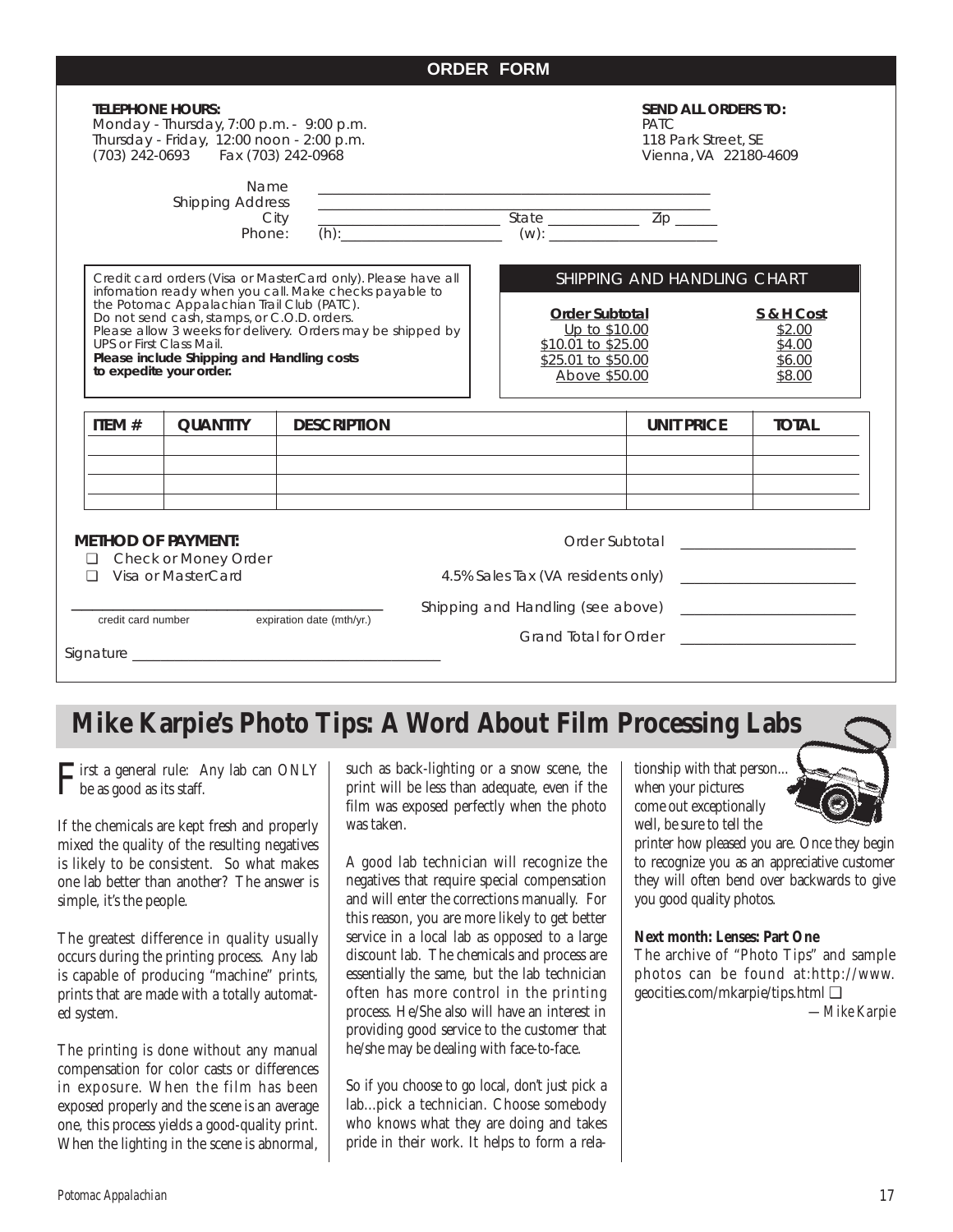| <b>TELEPHONE HOURS:</b><br>Monday - Thursday, 7:00 p.m. - 9:00 p.m.<br>Thursday - Friday, 12:00 noon - 2:00 p.m.<br>(703) 242-0693    Fax (703) 242-0968                                                                                                                                                                                                                                 |                                           | <b>SEND ALL ORDERS TO:</b><br><b>PATC</b><br>118 Park Street, SE<br>Vienna, VA 22180-4609 |                                                                                              |  |                                                                                                                                                                                                                                                                                                                                                                                            |                                                                                   |              |
|------------------------------------------------------------------------------------------------------------------------------------------------------------------------------------------------------------------------------------------------------------------------------------------------------------------------------------------------------------------------------------------|-------------------------------------------|-------------------------------------------------------------------------------------------|----------------------------------------------------------------------------------------------|--|--------------------------------------------------------------------------------------------------------------------------------------------------------------------------------------------------------------------------------------------------------------------------------------------------------------------------------------------------------------------------------------------|-----------------------------------------------------------------------------------|--------------|
|                                                                                                                                                                                                                                                                                                                                                                                          | Name<br><b>Shipping Address</b><br>Phone: | City                                                                                      | the control of the control of the control of the control of the control of                   |  | $\begin{tabular}{ c c c } \hline \rule[1ex]{1ex}{.4ex} \rule[1ex]{1ex}{.4ex} \rule[1ex]{1ex}{.4ex} \rule[1ex]{1ex}{.4ex} \rule[1ex]{1ex}{.4ex} \rule[1ex]{1ex}{.4ex} \rule[1ex]{1ex}{.4ex} \rule[1ex]{1ex}{.4ex} \rule[1ex]{1ex}{.4ex} \rule[1ex]{1ex}{.4ex} \rule[1ex]{1ex}{.4ex} \rule[1ex]{1ex}{.4ex} \rule[1ex]{1ex}{.4ex} \rule[1ex]{1ex}{.4ex} \rule[1ex]{1ex}{.4ex} \rule[1ex]{1ex$ |                                                                                   |              |
| Credit card orders (Visa or MasterCard only). Please have all<br>infomation ready when you call. Make checks payable to<br>the Potomac Appalachian Trail Club (PATC).<br>Do not send cash, stamps, or C.O.D. orders.<br>Please allow 3 weeks for delivery. Orders may be shipped by<br>UPS or First Class Mail.<br>Please include Shipping and Handling costs<br>to expedite your order. |                                           |                                                                                           | Order Subtotal<br>Up to \$10.00<br>\$10.01 to \$25.00<br>\$25.01 to \$50.00<br>Above \$50.00 |  |                                                                                                                                                                                                                                                                                                                                                                                            | SHIPPING AND HANDLING CHART<br>S & H Cost<br>\$2.00<br>\$4.00<br>\$6.00<br>\$8.00 |              |
| ITEM#                                                                                                                                                                                                                                                                                                                                                                                    | <b>QUANTITY</b>                           | <b>DESCRIPTION</b>                                                                        |                                                                                              |  |                                                                                                                                                                                                                                                                                                                                                                                            | <b>UNIT PRICE</b>                                                                 | <b>TOTAL</b> |
|                                                                                                                                                                                                                                                                                                                                                                                          |                                           |                                                                                           |                                                                                              |  |                                                                                                                                                                                                                                                                                                                                                                                            |                                                                                   |              |
| <b>METHOD OF PAYMENT:</b><br>Check or Money Order<br>⊔                                                                                                                                                                                                                                                                                                                                   |                                           |                                                                                           |                                                                                              |  |                                                                                                                                                                                                                                                                                                                                                                                            |                                                                                   |              |
| Visa or MasterCard<br>П                                                                                                                                                                                                                                                                                                                                                                  |                                           |                                                                                           |                                                                                              |  |                                                                                                                                                                                                                                                                                                                                                                                            |                                                                                   |              |
| expiration date (mth/yr.)<br>credit card number                                                                                                                                                                                                                                                                                                                                          |                                           |                                                                                           |                                                                                              |  | Shipping and Handling (see above)                                                                                                                                                                                                                                                                                                                                                          |                                                                                   |              |
|                                                                                                                                                                                                                                                                                                                                                                                          |                                           |                                                                                           |                                                                                              |  |                                                                                                                                                                                                                                                                                                                                                                                            |                                                                                   |              |
|                                                                                                                                                                                                                                                                                                                                                                                          |                                           |                                                                                           |                                                                                              |  |                                                                                                                                                                                                                                                                                                                                                                                            |                                                                                   |              |

# **Mike Karpie's Photo Tips: A Word About Film Processing Labs**

 $\Gamma$ irst a general rule: Any lab can ONLY be as good as its staff.

If the chemicals are kept fresh and properly mixed the quality of the resulting negatives is likely to be consistent. So what makes one lab better than another? The answer is simple, it's the people.

The greatest difference in quality usually occurs during the printing process. Any lab is capable of producing "machine" prints, prints that are made with a totally automated system.

The printing is done without any manual compensation for color casts or differences in exposure. When the film has been exposed properly and the scene is an average one, this process yields a good-quality print. When the lighting in the scene is abnormal,

such as back-lighting or a snow scene, the print will be less than adequate, even if the film was exposed perfectly when the photo was taken.

A good lab technician will recognize the negatives that require special compensation and will enter the corrections manually. For this reason, you are more likely to get better service in a local lab as opposed to a large discount lab. The chemicals and process are essentially the same, but the lab technician often has more control in the printing process. He/She also will have an interest in providing good service to the customer that he/she may be dealing with face-to-face.

So if you choose to go local, don't just pick a lab...pick a technician. Choose somebody who knows what they are doing and takes pride in their work. It helps to form a relationship with that person... when your pictures come out exceptionally well, be sure to tell the



printer how pleased you are. Once they begin to recognize you as an appreciative customer they will often bend over backwards to give you good quality photos.

### **Next month: Lenses: Part One**

The archive of "Photo Tips" and sample photos can be found at:http://www. geocities.com/mkarpie/tips.html ❑

*—Mike Karpie*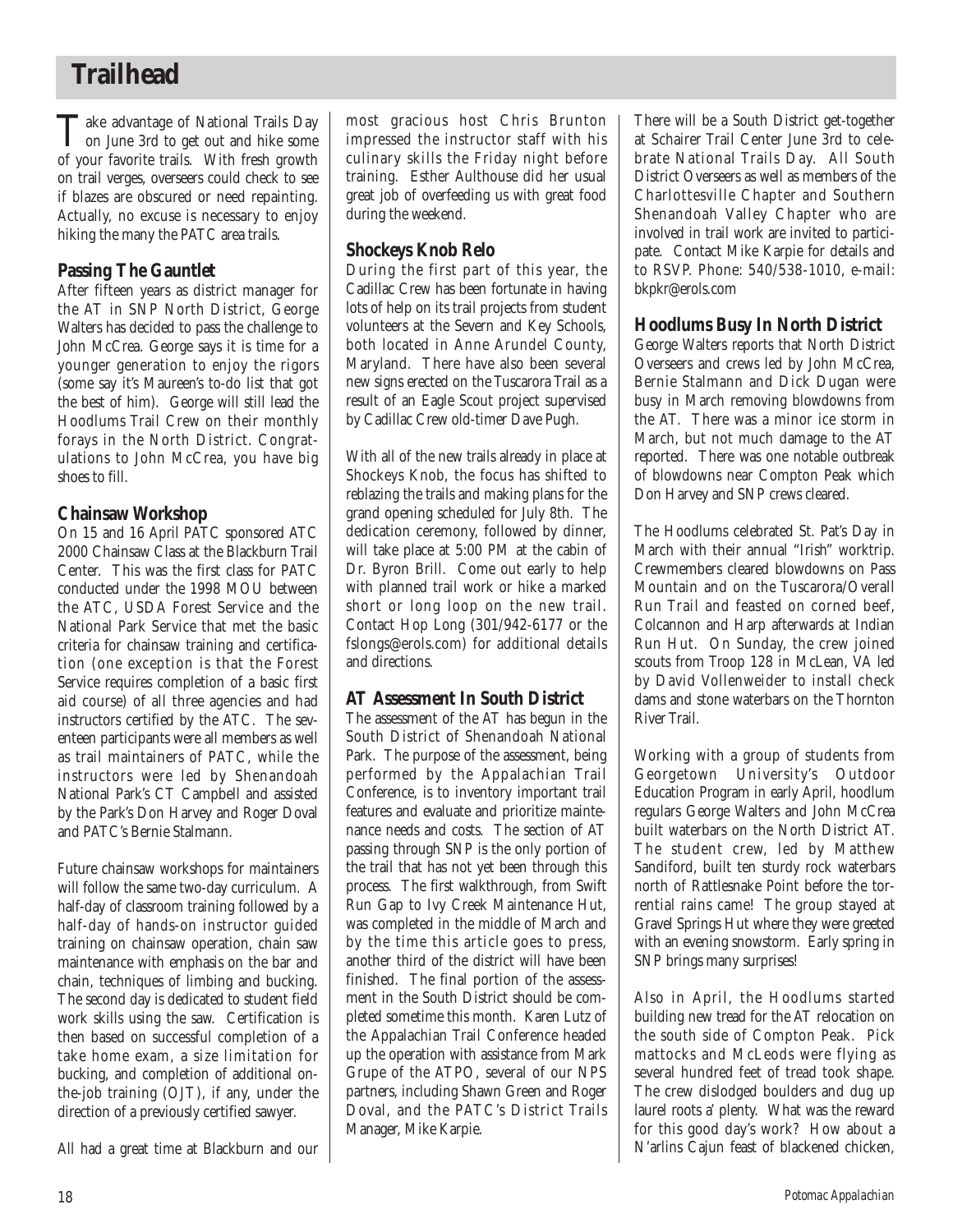## **Trailhead**

Take advantage of National Trails Day<br>on June 3rd to get out and hike some<br>of successive trails. With faceboom of your favorite trails. With fresh growth on trail verges, overseers could check to see if blazes are obscured or need repainting. Actually, no excuse is necessary to enjoy hiking the many the PATC area trails.

## **Passing The Gauntlet**

After fifteen years as district manager for the AT in SNP North District, George Walters has decided to pass the challenge to John McCrea. George says it is time for a younger generation to enjoy the rigors (some say it's Maureen's to-do list that got the best of him). George will still lead the Hoodlums Trail Crew on their monthly forays in the North District. Congratulations to John McCrea, you have big shoes to fill.

## **Chainsaw Workshop**

On 15 and 16 April PATC sponsored ATC 2000 Chainsaw Class at the Blackburn Trail Center. This was the first class for PATC conducted under the 1998 MOU between the ATC, USDA Forest Service and the National Park Service that met the basic criteria for chainsaw training and certification (one exception is that the Forest Service requires completion of a basic first aid course) of all three agencies and had instructors certified by the ATC. The seventeen participants were all members as well as trail maintainers of PATC, while the instructors were led by Shenandoah National Park's CT Campbell and assisted by the Park's Don Harvey and Roger Doval and PATC's Bernie Stalmann.

Future chainsaw workshops for maintainers will follow the same two-day curriculum. A half-day of classroom training followed by a half-day of hands-on instructor guided training on chainsaw operation, chain saw maintenance with emphasis on the bar and chain, techniques of limbing and bucking. The second day is dedicated to student field work skills using the saw. Certification is then based on successful completion of a take home exam, a size limitation for bucking, and completion of additional onthe-job training (OJT), if any, under the direction of a previously certified sawyer.

All had a great time at Blackburn and our

most gracious host Chris Brunton impressed the instructor staff with his culinary skills the Friday night before training. Esther Aulthouse did her usual great job of overfeeding us with great food during the weekend.

## **Shockeys Knob Relo**

During the first part of this year, the Cadillac Crew has been fortunate in having lots of help on its trail projects from student volunteers at the Severn and Key Schools, both located in Anne Arundel County, Maryland. There have also been several new signs erected on the Tuscarora Trail as a result of an Eagle Scout project supervised by Cadillac Crew old-timer Dave Pugh.

With all of the new trails already in place at Shockeys Knob, the focus has shifted to reblazing the trails and making plans for the grand opening scheduled for July 8th. The dedication ceremony, followed by dinner, will take place at 5:00 PM at the cabin of Dr. Byron Brill. Come out early to help with planned trail work or hike a marked short or long loop on the new trail. Contact Hop Long (301/942-6177 or the fslongs@erols.com) for additional details and directions.

## **AT Assessment In South District**

The assessment of the AT has begun in the South District of Shenandoah National Park. The purpose of the assessment, being performed by the Appalachian Trail Conference, is to inventory important trail features and evaluate and prioritize maintenance needs and costs. The section of AT passing through SNP is the only portion of the trail that has not yet been through this process. The first walkthrough, from Swift Run Gap to Ivy Creek Maintenance Hut, was completed in the middle of March and by the time this article goes to press, another third of the district will have been finished. The final portion of the assessment in the South District should be completed sometime this month. Karen Lutz of the Appalachian Trail Conference headed up the operation with assistance from Mark Grupe of the ATPO, several of our NPS partners, including Shawn Green and Roger Doval, and the PATC's District Trails Manager, Mike Karpie.

There will be a South District get-together at Schairer Trail Center June 3rd to celebrate National Trails Day. All South District Overseers as well as members of the Charlottesville Chapter and Southern Shenandoah Valley Chapter who are involved in trail work are invited to participate. Contact Mike Karpie for details and to RSVP. Phone: 540/538-1010, e-mail: bkpkr@erols.com

## **Hoodlums Busy In North District**

George Walters reports that North District Overseers and crews led by John McCrea, Bernie Stalmann and Dick Dugan were busy in March removing blowdowns from the AT. There was a minor ice storm in March, but not much damage to the AT reported. There was one notable outbreak of blowdowns near Compton Peak which Don Harvey and SNP crews cleared.

The Hoodlums celebrated St. Pat's Day in March with their annual "Irish" worktrip. Crewmembers cleared blowdowns on Pass Mountain and on the Tuscarora/Overall Run Trail and feasted on corned beef, Colcannon and Harp afterwards at Indian Run Hut. On Sunday, the crew joined scouts from Troop 128 in McLean, VA led by David Vollenweider to install check dams and stone waterbars on the Thornton River Trail.

Working with a group of students from Georgetown University's Outdoor Education Program in early April, hoodlum regulars George Walters and John McCrea built waterbars on the North District AT. The student crew, led by Matthew Sandiford, built ten sturdy rock waterbars north of Rattlesnake Point before the torrential rains came! The group stayed at Gravel Springs Hut where they were greeted with an evening snowstorm. Early spring in SNP brings many surprises!

Also in April, the Hoodlums started building new tread for the AT relocation on the south side of Compton Peak. Pick mattocks and McLeods were flying as several hundred feet of tread took shape. The crew dislodged boulders and dug up laurel roots a' plenty. What was the reward for this good day's work? How about a N'arlins Cajun feast of blackened chicken,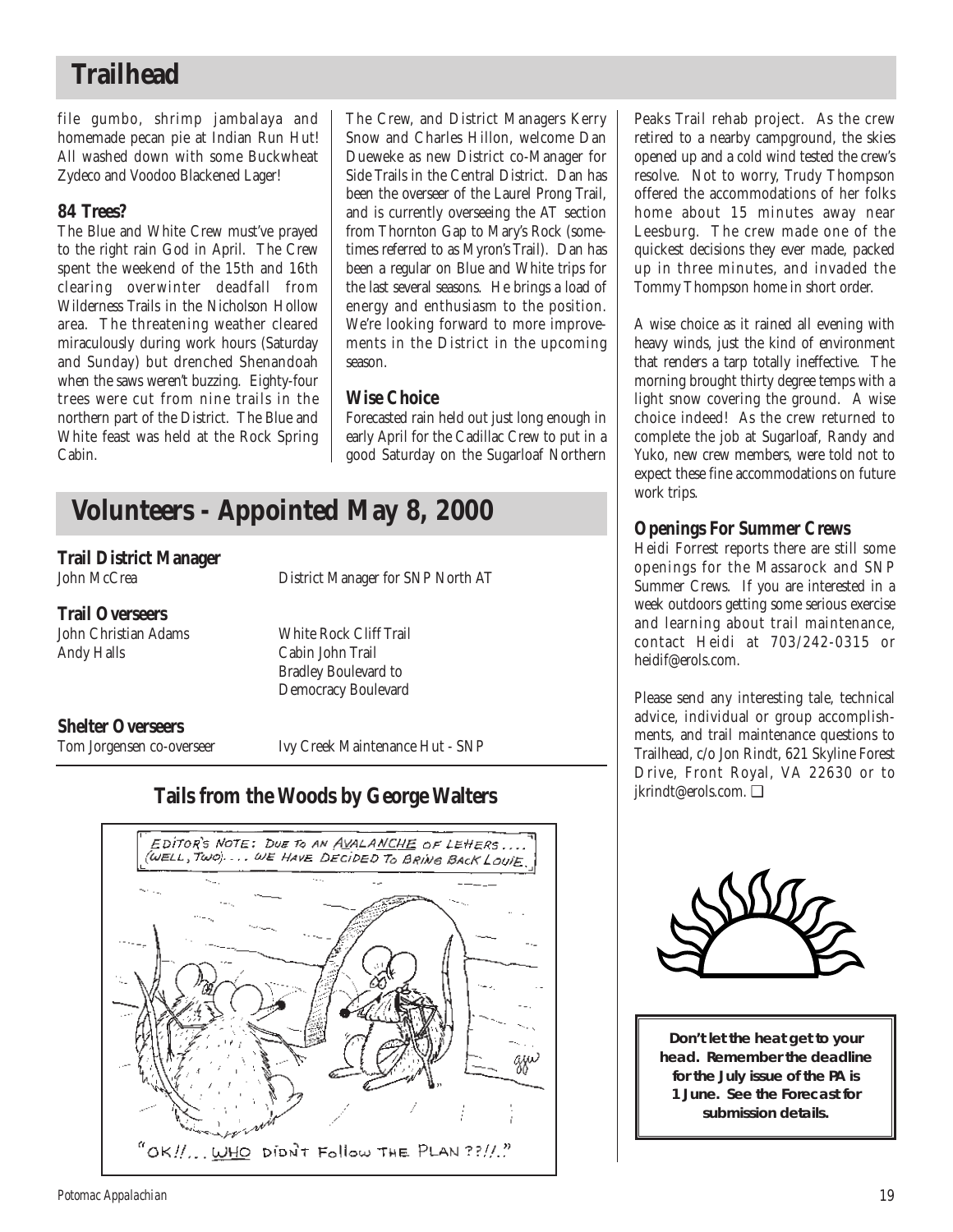## **Trailhead**

file gumbo, shrimp jambalaya and homemade pecan pie at Indian Run Hut! All washed down with some Buckwheat Zydeco and Voodoo Blackened Lager!

## **84 Trees?**

The Blue and White Crew must've prayed to the right rain God in April. The Crew spent the weekend of the 15th and 16th clearing overwinter deadfall from Wilderness Trails in the Nicholson Hollow area. The threatening weather cleared miraculously during work hours (Saturday and Sunday) but drenched Shenandoah when the saws weren't buzzing. Eighty-four trees were cut from nine trails in the northern part of the District. The Blue and White feast was held at the Rock Spring Cabin.

The Crew, and District Managers Kerry Snow and Charles Hillon, welcome Dan Dueweke as new District co-Manager for Side Trails in the Central District. Dan has been the overseer of the Laurel Prong Trail, and is currently overseeing the AT section from Thornton Gap to Mary's Rock (sometimes referred to as Myron's Trail). Dan has been a regular on Blue and White trips for the last several seasons. He brings a load of energy and enthusiasm to the position. We're looking forward to more improvements in the District in the upcoming season.

## **Wise Choice**

Forecasted rain held out just long enough in early April for the Cadillac Crew to put in a good Saturday on the Sugarloaf Northern

## **Volunteers - Appointed May 8, 2000**

# **Trail District Manager**

## **Trail Overseers**

Andy Halls Cabin John Trail

John Christian Adams White Rock Cliff Trail Bradley Boulevard to Democracy Boulevard

**Shelter Overseers**<br> **Tom Jorgensen co-overseer** 

Ivy Creek Maintenance Hut - SNP

District Manager for SNP North AT



## **Tails from the Woods by George Walters**

Peaks Trail rehab project. As the crew retired to a nearby campground, the skies opened up and a cold wind tested the crew's resolve. Not to worry, Trudy Thompson offered the accommodations of her folks home about 15 minutes away near Leesburg. The crew made one of the quickest decisions they ever made, packed up in three minutes, and invaded the Tommy Thompson home in short order.

A wise choice as it rained all evening with heavy winds, just the kind of environment that renders a tarp totally ineffective. The morning brought thirty degree temps with a light snow covering the ground. A wise choice indeed! As the crew returned to complete the job at Sugarloaf, Randy and Yuko, new crew members, were told not to expect these fine accommodations on future work trips.

## **Openings For Summer Crews**

Heidi Forrest reports there are still some openings for the Massarock and SNP Summer Crews. If you are interested in a week outdoors getting some serious exercise and learning about trail maintenance, contact Heidi at 703/242-0315 or heidif@erols.com.

Please send any interesting tale, technical advice, individual or group accomplishments, and trail maintenance questions to Trailhead, c/o Jon Rindt, 621 Skyline Forest Drive, Front Royal, VA 22630 or to jkrindt@erols.com. ❑



**Don't let the heat get to your head. Remember the deadline for the July issue of the** *PA* **is 1 June. See the Forecast for submission details.**